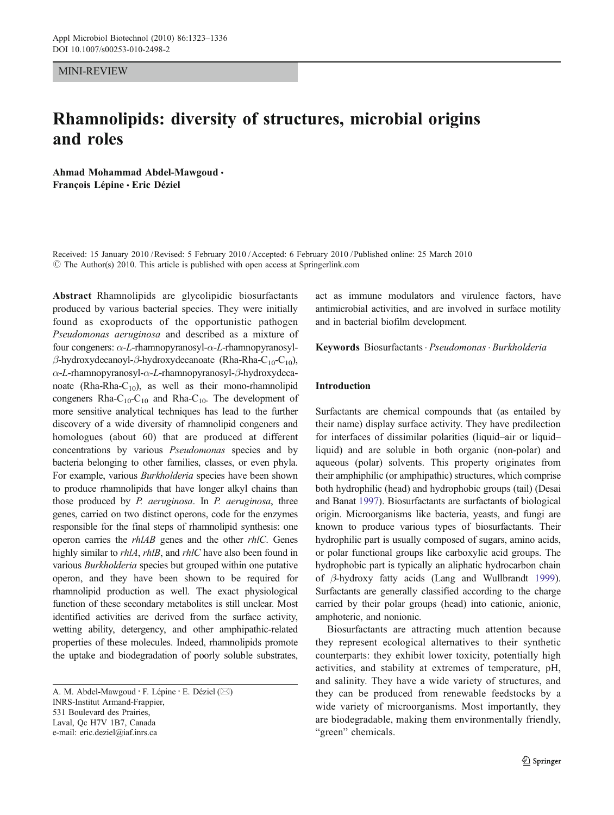MINI-REVIEW

# Rhamnolipids: diversity of structures, microbial origins and roles

Ahmad Mohammad Abdel-Mawgoud & François Lépine & Eric Déziel

Received: 15 January 2010 /Revised: 5 February 2010 /Accepted: 6 February 2010 / Published online: 25 March 2010  $\circ$  The Author(s) 2010. This article is published with open access at Springerlink.com

Abstract Rhamnolipids are glycolipidic biosurfactants produced by various bacterial species. They were initially found as exoproducts of the opportunistic pathogen Pseudomonas aeruginosa and described as a mixture of four congeners: α-L-rhamnopyranosyl-α-L-rhamnopyranosylβ-hydroxydecanoyl-β-hydroxydecanoate (Rha-Rha-C<sub>10</sub>-C<sub>10</sub>), α-L-rhamnopyranosyl-α-L-rhamnopyranosyl-β-hydroxydecanoate (Rha-Rha-C<sub>10</sub>), as well as their mono-rhamnolipid congeners Rha- $C_{10}$ - $C_{10}$  and Rha- $C_{10}$ . The development of more sensitive analytical techniques has lead to the further discovery of a wide diversity of rhamnolipid congeners and homologues (about 60) that are produced at different concentrations by various Pseudomonas species and by bacteria belonging to other families, classes, or even phyla. For example, various Burkholderia species have been shown to produce rhamnolipids that have longer alkyl chains than those produced by P. aeruginosa. In P. aeruginosa, three genes, carried on two distinct operons, code for the enzymes responsible for the final steps of rhamnolipid synthesis: one operon carries the rhlAB genes and the other rhlC. Genes highly similar to *rhlA*, *rhlB*, and *rhlC* have also been found in various Burkholderia species but grouped within one putative operon, and they have been shown to be required for rhamnolipid production as well. The exact physiological function of these secondary metabolites is still unclear. Most identified activities are derived from the surface activity, wetting ability, detergency, and other amphipathic-related properties of these molecules. Indeed, rhamnolipids promote the uptake and biodegradation of poorly soluble substrates,

A. M. Abdel-Mawgoud : F. Lépine : E. Déziel (*\**) INRS-Institut Armand-Frappier, 531 Boulevard des Prairies, Laval, Qc H7V 1B7, Canada e-mail: eric.deziel@iaf.inrs.ca

act as immune modulators and virulence factors, have antimicrobial activities, and are involved in surface motility and in bacterial biofilm development.

Keywords Biosurfactants. Pseudomonas . Burkholderia

## Introduction

Surfactants are chemical compounds that (as entailed by their name) display surface activity. They have predilection for interfaces of dissimilar polarities (liquid–air or liquid– liquid) and are soluble in both organic (non-polar) and aqueous (polar) solvents. This property originates from their amphiphilic (or amphipathic) structures, which comprise both hydrophilic (head) and hydrophobic groups (tail) (Desai and Banat [1997](#page-10-0)). Biosurfactants are surfactants of biological origin. Microorganisms like bacteria, yeasts, and fungi are known to produce various types of biosurfactants. Their hydrophilic part is usually composed of sugars, amino acids, or polar functional groups like carboxylic acid groups. The hydrophobic part is typically an aliphatic hydrocarbon chain of β-hydroxy fatty acids (Lang and Wullbrandt [1999\)](#page-12-0). Surfactants are generally classified according to the charge carried by their polar groups (head) into cationic, anionic, amphoteric, and nonionic.

Biosurfactants are attracting much attention because they represent ecological alternatives to their synthetic counterparts: they exhibit lower toxicity, potentially high activities, and stability at extremes of temperature, pH, and salinity. They have a wide variety of structures, and they can be produced from renewable feedstocks by a wide variety of microorganisms. Most importantly, they are biodegradable, making them environmentally friendly, "green" chemicals.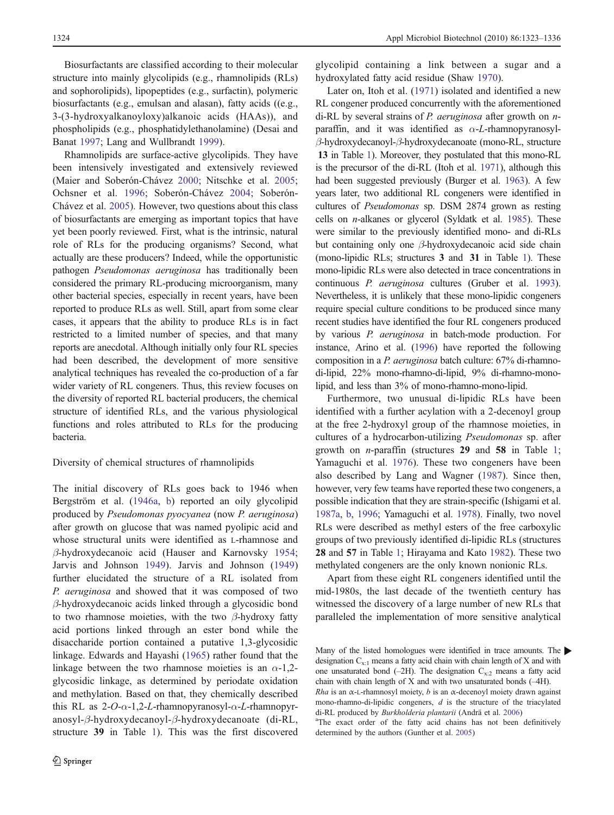Biosurfactants are classified according to their molecular structure into mainly glycolipids (e.g., rhamnolipids (RLs) and sophorolipids), lipopeptides (e.g., surfactin), polymeric biosurfactants (e.g., emulsan and alasan), fatty acids ((e.g., 3-(3-hydroxyalkanoyloxy)alkanoic acids (HAAs)), and phospholipids (e.g., phosphatidylethanolamine) (Desai and Banat [1997](#page-10-0); Lang and Wullbrandt [1999\)](#page-12-0).

Rhamnolipids are surface-active glycolipids. They have been intensively investigated and extensively reviewed (Maier and Soberón-Chávez [2000;](#page-12-0) Nitschke et al. [2005](#page-12-0); Ochsner et al. [1996;](#page-12-0) Soberón-Chávez [2004](#page-13-0); Soberón-Chávez et al. [2005](#page-13-0)). However, two questions about this class of biosurfactants are emerging as important topics that have yet been poorly reviewed. First, what is the intrinsic, natural role of RLs for the producing organisms? Second, what actually are these producers? Indeed, while the opportunistic pathogen Pseudomonas aeruginosa has traditionally been considered the primary RL-producing microorganism, many other bacterial species, especially in recent years, have been reported to produce RLs as well. Still, apart from some clear cases, it appears that the ability to produce RLs is in fact restricted to a limited number of species, and that many reports are anecdotal. Although initially only four RL species had been described, the development of more sensitive analytical techniques has revealed the co-production of a far wider variety of RL congeners. Thus, this review focuses on the diversity of reported RL bacterial producers, the chemical structure of identified RLs, and the various physiological functions and roles attributed to RLs for the producing bacteria.

## Diversity of chemical structures of rhamnolipids

The initial discovery of RLs goes back to 1946 when Bergström et al. ([1946a](#page-10-0), [b](#page-10-0)) reported an oily glycolipid produced by Pseudomonas pyocyanea (now P. aeruginosa) after growth on glucose that was named pyolipic acid and whose structural units were identified as L-rhamnose and β-hydroxydecanoic acid (Hauser and Karnovsky [1954](#page-11-0); Jarvis and Johnson [1949\)](#page-11-0). Jarvis and Johnson ([1949\)](#page-11-0) further elucidated the structure of a RL isolated from P. aeruginosa and showed that it was composed of two β-hydroxydecanoic acids linked through a glycosidic bond to two rhamnose moieties, with the two  $\beta$ -hydroxy fatty acid portions linked through an ester bond while the disaccharide portion contained a putative 1,3-glycosidic linkage. Edwards and Hayashi [\(1965](#page-11-0)) rather found that the linkage between the two rhamnose moieties is an  $\alpha$ -1,2glycosidic linkage, as determined by periodate oxidation and methylation. Based on that, they chemically described this RL as  $2-O-\alpha-1,2-L$ -rhamnopyranosyl- $\alpha$ -L-rhamnopyranosyl-β-hydroxydecanoyl-β-hydroxydecanoate (di-RL, structure 39 in Table [1](#page-2-0)). This was the first discovered glycolipid containing a link between a sugar and a hydroxylated fatty acid residue (Shaw [1970](#page-13-0)).

Later on, Itoh et al. ([1971\)](#page-11-0) isolated and identified a new RL congener produced concurrently with the aforementioned di-RL by several strains of P. aeruginosa after growth on  $n$ paraffin, and it was identified as  $\alpha$ -L-rhamnopyranosylβ-hydroxydecanoyl-β-hydroxydecanoate (mono-RL, structure 13 in Table [1](#page-2-0)). Moreover, they postulated that this mono-RL is the precursor of the di-RL (Itoh et al. [1971](#page-11-0)), although this had been suggested previously (Burger et al. [1963](#page-10-0)). A few years later, two additional RL congeners were identified in cultures of Pseudomonas sp. DSM 2874 grown as resting cells on n-alkanes or glycerol (Syldatk et al. [1985](#page-13-0)). These were similar to the previously identified mono- and di-RLs but containing only one β-hydroxydecanoic acid side chain (mono-lipidic RLs; structures 3 and 31 in Table [1\)](#page-2-0). These mono-lipidic RLs were also detected in trace concentrations in continuous P. aeruginosa cultures (Gruber et al. [1993\)](#page-11-0). Nevertheless, it is unlikely that these mono-lipidic congeners require special culture conditions to be produced since many recent studies have identified the four RL congeners produced by various P. aeruginosa in batch-mode production. For instance, Arino et al. [\(1996](#page-10-0)) have reported the following composition in a P. aeruginosa batch culture: 67% di-rhamnodi-lipid, 22% mono-rhamno-di-lipid, 9% di-rhamno-monolipid, and less than 3% of mono-rhamno-mono-lipid.

Furthermore, two unusual di-lipidic RLs have been identified with a further acylation with a 2-decenoyl group at the free 2-hydroxyl group of the rhamnose moieties, in cultures of a hydrocarbon-utilizing Pseudomonas sp. after growth on *n*-paraffin (structures  $29$  and  $58$  in Table [1;](#page-2-0) Yamaguchi et al. [1976\)](#page-13-0). These two congeners have been also described by Lang and Wagner [\(1987](#page-12-0)). Since then, however, very few teams have reported these two congeners, a possible indication that they are strain-specific (Ishigami et al. [1987a,](#page-11-0) [b,](#page-11-0) [1996](#page-11-0); Yamaguchi et al. [1978\)](#page-13-0). Finally, two novel RLs were described as methyl esters of the free carboxylic groups of two previously identified di-lipidic RLs (structures 28 and 57 in Table [1](#page-2-0); Hirayama and Kato [1982\)](#page-11-0). These two methylated congeners are the only known nonionic RLs.

Apart from these eight RL congeners identified until the mid-1980s, the last decade of the twentieth century has witnessed the discovery of a large number of new RLs that paralleled the implementation of more sensitive analytical

determined by the authors (Gunther et al. [2005](#page-11-0))

Many of the listed homologues were identified in trace amounts. The designation  $C_{x:1}$  means a fatty acid chain with chain length of X and with one unsaturated bond (–2H). The designation  $C_{x:2}$  means a fatty acid chain with chain length of X and with two unsaturated bonds (–4H). Rha is an  $\alpha$ -L-rhamnosyl moiety, b is an  $\alpha$ -decenoyl moiety drawn against mono-rhamno-di-lipidic congeners,  $d$  is the structure of the triacylated di-RL produced by Burkholderia plantarii (Andrä et al. [2006](#page-10-0)) <sup>a</sup>The exact order of the fatty acid chains has not been definitively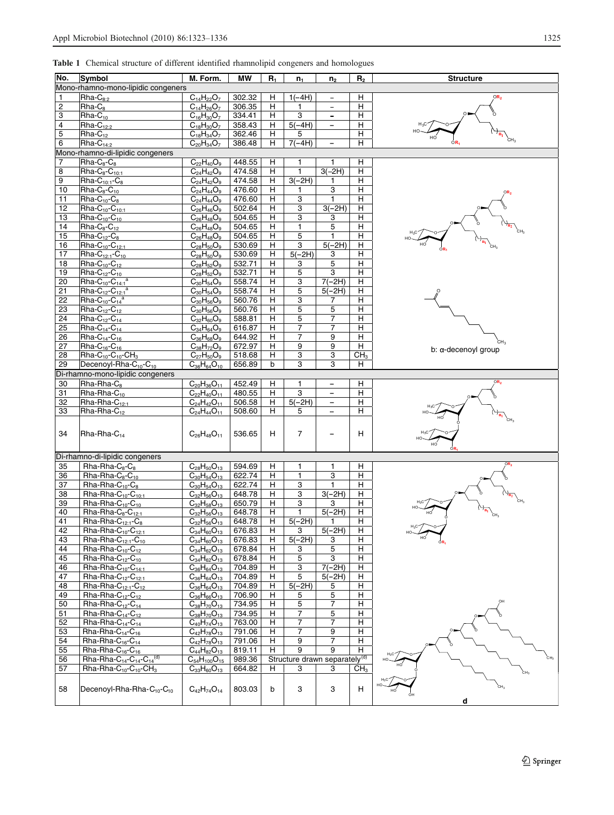<span id="page-2-0"></span>

|  |  |  |  |  | Table 1 Chemical structure of different identified rhamnolipid congeners and homologues |  |  |  |
|--|--|--|--|--|-----------------------------------------------------------------------------------------|--|--|--|
|--|--|--|--|--|-----------------------------------------------------------------------------------------|--|--|--|

| No.                              |                                                                                                                                                 |                                 |        |        |                |                                               |                 |                                |
|----------------------------------|-------------------------------------------------------------------------------------------------------------------------------------------------|---------------------------------|--------|--------|----------------|-----------------------------------------------|-----------------|--------------------------------|
|                                  | Symbol<br>M. Form.<br><b>MW</b><br>R <sub>2</sub><br><b>Structure</b><br>$R_1$<br>$n_1$<br>n <sub>2</sub><br>Mono-rhamno-mono-lipidic congeners |                                 |        |        |                |                                               |                 |                                |
|                                  | $\overline{R}$ ha- $C_{8:2}$                                                                                                                    | $C_{14}H_{22}O_7$               | 302.32 |        |                | $\overline{\phantom{a}}$                      |                 | OR <sub>2</sub>                |
| 1                                |                                                                                                                                                 |                                 |        | н      | $1(-4H)$       |                                               | н               |                                |
| $\overline{c}$<br>3              | Rha-C <sub>8</sub>                                                                                                                              | $C_{14}H_{26}O_7$               | 306.35 | н<br>н | 1<br>3         | $\qquad \qquad -$<br>$\overline{\phantom{0}}$ | н<br>н          |                                |
| 4                                | $Rha-C_{10}$<br>Rha-C <sub>12-2</sub>                                                                                                           | $C_{16}H_{30}O_7$               | 334.41 |        |                |                                               | н               |                                |
|                                  |                                                                                                                                                 | $C_{18}H_{30}O_7$               | 358.43 | Н      | $5(-4H)$<br>5  | $\overline{\phantom{0}}$                      |                 | $\rightarrow_{\overline{n}_1}$ |
| 5                                | $Rha-C12$                                                                                                                                       | $C_{18}H_{34}O_7$               | 362.46 | н      |                |                                               | н               | ςH,                            |
| 6                                | $Rha-C14:2$                                                                                                                                     | $C_{20}H_{34}O_7$               | 386.48 | н      | $7(-4H)$       | $\qquad \qquad -$                             | н               |                                |
| Mono-rhamno-di-lipidic congeners |                                                                                                                                                 |                                 |        |        |                |                                               |                 |                                |
| $\overline{7}$                   | $Rha-C_8-C_8$                                                                                                                                   | $C_{22}H_{40}O_9$               | 448.55 | н      | 1              | 1                                             | н               |                                |
| 8                                | $Rha-C_8-C_{10:1}$                                                                                                                              | $C_{24}H_{42}O_9$               | 474.58 | н      | $\mathbf{1}$   | $3(-2H)$                                      | н               |                                |
| 9                                | $Rha-C_{10:1}-C_8$                                                                                                                              | $C_{24}H_{42}O_9$               | 474.58 | н      | $3(-2H)$       | $\mathbf{1}$                                  | н               |                                |
| 10                               | $Rha-C_8-C_{10}$                                                                                                                                | $C_{24}H_{44}O_9$               | 476.60 | н      | $\mathbf{1}$   | 3                                             | H               |                                |
| 11                               | $Rha-C_{10}-C_8$                                                                                                                                | $C_{24}H_{44}O_9$               | 476.60 | н      | 3              | 1                                             | н               |                                |
| 12                               | $Rha-C_{10}$ - $C_{10:1}$                                                                                                                       | $C_{26}H_{46}O_9$               | 502.64 | Н      | 3              | $3(-2H)$                                      | н               |                                |
| 13                               | $Rha-C_{10}-C_{10}$                                                                                                                             | $C_{26}H_{48}O_9$               | 504.65 | Н      | 3              | 3                                             | н               |                                |
| 14                               | $Rha-C_8-C_{12}$                                                                                                                                | $C_{26}H_{48}O_9$               | 504.65 | Н      | $\mathbf{1}$   | 5                                             | н               |                                |
| 15                               | $Rha-C_{12}-C_{8}$                                                                                                                              | $C_{26}H_{48}O_9$               | 504.65 | н      | 5              | 1                                             | н               |                                |
| 16                               | $Rha-C_{10}-C_{12:1}$                                                                                                                           | $C_{28}H_{50}O_9$               | 530.69 | н      | 3              | $5(-2H)$                                      | н               |                                |
| 17                               | $Rha-C_{12:1}-C_{10}$                                                                                                                           | $C_{28}H_{50}O_9$               | 530.69 | н      | $5(-2H)$       | 3                                             | н               |                                |
| 18                               | Rha- $C_{10}$ - $C_{12}$                                                                                                                        | $C_{28}H_{52}O_9$               | 532.71 | н      | 3              | 5                                             | н               |                                |
| 19                               | $Rha-C_{12}-C_{10}$                                                                                                                             | $C_{28}H_{52}O_9$               | 532.71 | н      | 5              | 3                                             | н               |                                |
| 20                               | $Rha-C_{10}-C_{14:1}^a$                                                                                                                         | $C_{30}H_{54}O_9$               | 558.74 | н      | 3              | $7(-2H)$                                      | н               |                                |
| 21                               | Rha-C <sub>12</sub> -C <sub>12:1</sub> <sup>a</sup>                                                                                             | $C_{30}H_{54}O_9$               | 558.74 | н      | 5              | $5(-2H)$                                      | н               |                                |
| 22                               | $Rha-C_{10}-C_{14}^a$                                                                                                                           | $C_{30}H_{56}O_9$               | 560.76 | н      | 3              | 7                                             | н               |                                |
| 23                               | Rha- $C_{12}$ - $C_{12}$                                                                                                                        | $C_{30}H_{56}O_9$               | 560.76 | н      | 5              | 5                                             | н               |                                |
| 24                               | $Rha-C_{12}-C_{14}$                                                                                                                             | $C_{32}H_{60}O_9$               | 588.81 | н      | 5              | $\overline{7}$                                | н               |                                |
| 25                               | Rha- $C_{14}$ - $C_{14}$                                                                                                                        | $C_{34}H_{64}O_9$               | 616.87 | н      | $\overline{7}$ | 7                                             | н               |                                |
| 26                               | Rha- $C_{14}$ - $C_{16}$                                                                                                                        | $C_{36}H_{68}O_9$               | 644.92 | Н      | $\overline{7}$ | 9                                             | н               |                                |
| 27                               | $Rha-C_{16}$ - $C_{16}$                                                                                                                         | $C_{38}H_{72}O_9$               | 672.97 | н      | 9              | 9                                             | Η               | b: α-decenoyl group            |
| 28                               | Rha-C <sub>10</sub> -C <sub>10</sub> -CH <sub>3</sub>                                                                                           | $C_{27}H_{50}O_9$               | 518.68 | Н      | 3              | 3                                             | CH <sub>3</sub> |                                |
| 29                               | Decenoyl-Rha- $C_{10}$ - $C_{10}$                                                                                                               | $C_{36}H_{64}O_{10}$            | 656.89 | b      | 3              | 3                                             | н               |                                |
|                                  | Di-rhamno-mono-lipidic congeners                                                                                                                |                                 |        |        |                |                                               |                 |                                |
| 30                               | Rha-Rha-C <sub>8</sub>                                                                                                                          | $C_{20}H_{36}O_{11}$            | 452.49 | H      | 1              | $\overline{\phantom{a}}$                      | н               | OR <sub>2</sub>                |
| 31                               | Rha-Rha-C <sub>10</sub>                                                                                                                         | $C_{22}H_{40}O_{11}$            | 480.55 | н      | 3              | $\overline{\phantom{a}}$                      | н               |                                |
| 32                               | Rha-Rha-C <sub>12:1</sub>                                                                                                                       | $C_{24}H_{42}O_{11}$            | 506.58 | н      | $5(-2H)$       | $\overline{\phantom{a}}$                      | н               |                                |
| 33                               | Rha-Rha-C <sub>12</sub>                                                                                                                         | $C_{24}H_{44}O_{11}$            | 508.60 | н      | 5              | $\overline{\phantom{a}}$                      | н               | $n_{\rm n}$                    |
| 34                               |                                                                                                                                                 |                                 |        |        | 7              |                                               |                 |                                |
|                                  | Rha-Rha- $C_{14}$                                                                                                                               | $C_{26}H_{48}O_{11}$            | 536.65 | н      |                |                                               | н               |                                |
|                                  | Di-rhamno-di-lipidic congeners                                                                                                                  |                                 |        |        |                |                                               |                 |                                |
| 35                               | $Rha-Rha-C_8-C_8$                                                                                                                               | $C_{28}H_{50}O_{13}$            | 594.69 | н      | 1              | 1                                             | н               |                                |
| 36                               | $Rha-Rha-C_8-C_{10}$                                                                                                                            | $C_{30}H_{54}O_{13}$            | 622.74 | н      | $\mathbf{1}$   | 3                                             | н               |                                |
| 37                               | $Rha-Rha-C_{10}-C_8$                                                                                                                            | $C_{30}H_{54}O_{13}$            | 622.74 | Н      | 3              | 1                                             | н               |                                |
| 38                               | Rha-Rha- $C_{10}$ - $C_{10:1}$                                                                                                                  | $C_{32}H_{56}O_{13}$            | 648.78 | н      | 3              | $3(-2H)$                                      | н               |                                |
| 39                               | Rha-Rha- $C_{10}$ - $C_{10}$                                                                                                                    | $C_{32}H_{58}O_{13}$            | 650.79 | н      | 3              | 3                                             | н               | CH-                            |
| 40                               | Rha-Rha-C <sub>8</sub> -C <sub>12:1</sub>                                                                                                       | $C_{32}H_{56}O_{13}$            | 648.78 | н      | $\mathbf{1}$   | $5(-2H)$                                      | н               |                                |
| 41                               | Rha-Rha-C <sub>12:1</sub> -C <sub>8</sub>                                                                                                       | $C_{32}H_{56}O_{13}$            | 648.78 | н      | $5(-2H)$       | $\mathbf{1}$                                  | н               |                                |
| 42                               | Rha-Rha- $C_{10}$ - $C_{12:1}$                                                                                                                  | $C_{34}H_{60}O_{13}$            | 676.83 | H      | 3              | $5(-2H)$                                      | H               |                                |
| 43                               | $Rha-Rha-C12:1-C10$                                                                                                                             | $C_{34}H_{60}O_{13}$            | 676.83 | Н      | $5(-2H)$       | 3                                             | н               | HO                             |
| 44                               | $Rha-Rha-C10-C12$                                                                                                                               | $C_{34}H_{62}O_{13}$            | 678.84 | н      | 3              | 5                                             | н               |                                |
| 45                               | Rha-Rha-C <sub>12</sub> -C <sub>10</sub>                                                                                                        | $C_{34}H_{62}O_{13}$            | 678.84 | н      | 5              | 3                                             | н               |                                |
| 46                               | $Rha-Rha-C_{10}-C_{14:1}$                                                                                                                       | $C_{36}H_{64}O_{13}$            | 704.89 | н      | 3              | $7(-2H)$                                      | H               |                                |
| 47                               | $Rha-Rha-C_{12}-C_{12:1}$                                                                                                                       | $C_{36}H_{64}O_{13}$            | 704.89 | н      | 5              | $5(-2H)$                                      | н               |                                |
| 48                               | Rha-Rha- $C_{12:1}$ - $C_{12}$                                                                                                                  | $C_{36}H_{64}O_{13}$            | 704.89 | Η      | $5(-2H)$       | 5                                             | н               |                                |
| 49                               | Rha-Rha- $C_{12}$ - $C_{12}$                                                                                                                    | $C_{36}H_{66}O_{13}$            | 706.90 | н      | 5              | 5                                             | н               |                                |
| 50                               | Rha-Rha- $C_{12}$ - $C_{14}$                                                                                                                    | $\overline{C_{38}H_{70}O_{13}}$ | 734.95 | н      | 5              | 7                                             | Н               |                                |
| 51                               | Rha-Rha- $C_{14}$ - $C_{12}$                                                                                                                    | $C_{38}H_{70}O_{13}$            | 734.95 | н      | 7              | 5                                             | Н               |                                |
| 52                               | Rha-Rha- $C_{14}$ - $C_{14}$                                                                                                                    | $C_{40}H_{74}O_{13}$            | 763.00 | н      | 7              | 7                                             | Н               |                                |
| 53                               | Rha-Rha- $C_{14}$ - $C_{16}$                                                                                                                    | $C_{42}H_{78}O_{13}$            | 791.06 | н      | 7              | 9                                             | Н               |                                |
| 54                               | Rha-Rha- $C_{16}$ - $C_{14}$                                                                                                                    | $C_{42}H_{78}O_{13}$            | 791.06 | н      | 9              | $\overline{7}$                                | н               |                                |
| 55                               | Rha-Rha- $C_{16}$ - $C_{16}$                                                                                                                    | $C_{44}H_{82}O_{13}$            | 819.11 | н      | 9              | 9                                             | н               |                                |
| 56                               | Rha-Rha-C <sub>14</sub> -C <sub>14</sub> -C <sub>14</sub> <sup>(d)</sup>                                                                        | $C_{54}H_{100}O_{15}$           | 989.36 |        |                | Structure drawn separately <sup>(d)</sup>     |                 |                                |
| 57                               | Rha-Rha- $C_{10}$ - $C_{10}$ -CH <sub>3</sub>                                                                                                   | $C_{33}H_{60}O_{13}$            | 664.82 | н      | 3              | 3                                             | CH <sub>3</sub> |                                |
|                                  |                                                                                                                                                 |                                 |        |        |                |                                               |                 |                                |
| 58                               | Decenoyl-Rha-Rha-C <sub>10</sub> -C <sub>10</sub>                                                                                               | $C_{42}H_{74}O_{14}$            | 803.03 | b      | 3              | 3                                             | н               | cн.                            |
|                                  |                                                                                                                                                 |                                 |        |        |                |                                               |                 | d                              |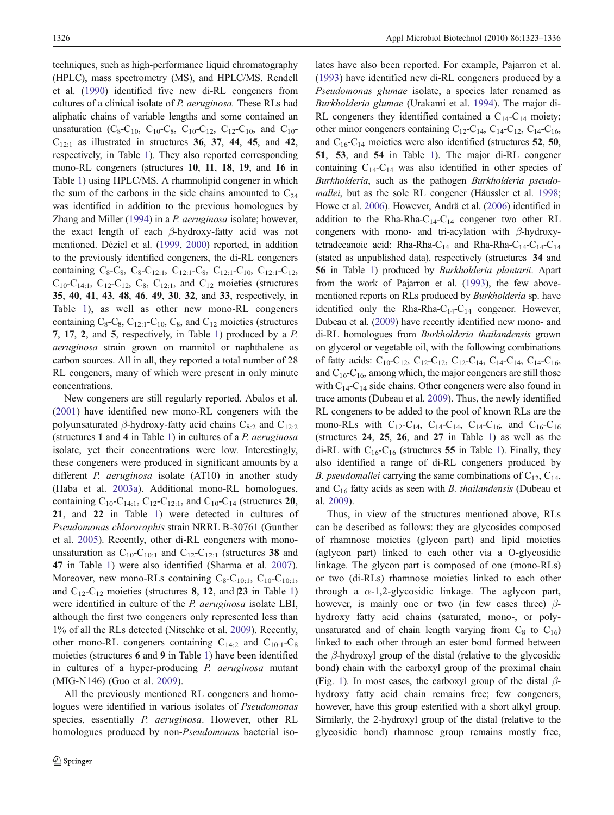techniques, such as high-performance liquid chromatography (HPLC), mass spectrometry (MS), and HPLC/MS. Rendell et al. [\(1990\)](#page-13-0) identified five new di-RL congeners from cultures of a clinical isolate of P. aeruginosa. These RLs had aliphatic chains of variable lengths and some contained an unsaturation (C<sub>8</sub>-C<sub>10</sub>, C<sub>10</sub>-C<sub>8</sub>, C<sub>10</sub>-C<sub>12</sub>, C<sub>12</sub>-C<sub>10</sub>, and C<sub>10</sub>- $C_{12:1}$  as illustrated in structures 36, 37, 44, 45, and 42, respectively, in Table [1\)](#page-2-0). They also reported corresponding mono-RL congeners (structures 10, 11, 18, 19, and 16 in Table [1](#page-2-0)) using HPLC/MS. A rhamnolipid congener in which the sum of the carbons in the side chains amounted to  $C_{24}$ was identified in addition to the previous homologues by Zhang and Miller ([1994](#page-13-0)) in a P. aeruginosa isolate; however, the exact length of each β-hydroxy-fatty acid was not mentioned. Déziel et al. ([1999](#page-11-0), [2000](#page-11-0)) reported, in addition to the previously identified congeners, the di-RL congeners containing  $C_8 - C_8$ ,  $C_8 - C_{12 \cdot 1}$ ,  $C_{12 \cdot 1} - C_8$ ,  $C_{12 \cdot 1} - C_{10}$ ,  $C_{12 \cdot 1} - C_{12}$ ,  $C_{10}$ -C<sub>14:1</sub>, C<sub>12</sub>-C<sub>12</sub>, C<sub>8</sub>, C<sub>12:1</sub>, and C<sub>12</sub> moieties (structures 35, 40, 41, 43, 48, 46, 49, 30, 32, and 33, respectively, in Table [1](#page-2-0)), as well as other new mono-RL congeners containing  $C_8 - C_8$ ,  $C_{12:1} - C_{10}$ ,  $C_8$ , and  $C_{12}$  moieties (structures 7, 17, 2, and 5, respectively, in Table [1\)](#page-2-0) produced by a P. aeruginosa strain grown on mannitol or naphthalene as carbon sources. All in all, they reported a total number of 28 RL congeners, many of which were present in only minute concentrations.

New congeners are still regularly reported. Abalos et al. [\(2001](#page-10-0)) have identified new mono-RL congeners with the polyunsaturated  $\beta$ -hydroxy-fatty acid chains C<sub>8:2</sub> and C<sub>12:2</sub> (structures  $1$  and  $4$  in Table [1\)](#page-2-0) in cultures of a P. aeruginosa isolate, yet their concentrations were low. Interestingly, these congeners were produced in significant amounts by a different *P. aeruginosa* isolate (AT10) in another study (Haba et al. [2003a\)](#page-11-0). Additional mono-RL homologues, containing  $C_{10}$ -C<sub>14:1</sub>, C<sub>12</sub>-C<sub>12:1</sub>, and C<sub>10</sub>-C<sub>14</sub> (structures 20, 21, and 22 in Table [1](#page-2-0)) were detected in cultures of Pseudomonas chlororaphis strain NRRL B-30761 (Gunther et al. [2005](#page-11-0)). Recently, other di-RL congeners with monounsaturation as  $C_{10}$ - $C_{10:1}$  and  $C_{12}$ - $C_{12:1}$  (structures 38 and 47 in Table [1](#page-2-0)) were also identified (Sharma et al. [2007](#page-13-0)). Moreover, new mono-RLs containing  $C_8-C_{10:1}$ ,  $C_{10}-C_{10:1}$ , and  $C_{12}-C_{12}$  moieties (structures 8, 12, and 23 in Table [1\)](#page-2-0) were identified in culture of the P. aeruginosa isolate LBI, although the first two congeners only represented less than 1% of all the RLs detected (Nitschke et al. [2009\)](#page-12-0). Recently, other mono-RL congeners containing  $C_{14:2}$  and  $C_{10:1}-C_8$ moieties (structures 6 and 9 in Table [1\)](#page-2-0) have been identified in cultures of a hyper-producing P. aeruginosa mutant (MIG-N146) (Guo et al. [2009](#page-11-0)).

All the previously mentioned RL congeners and homologues were identified in various isolates of Pseudomonas species, essentially P. *aeruginosa*. However, other RL homologues produced by non-Pseudomonas bacterial iso-

lates have also been reported. For example, Pajarron et al. [\(1993](#page-12-0)) have identified new di-RL congeners produced by a Pseudomonas glumae isolate, a species later renamed as Burkholderia glumae (Urakami et al. [1994](#page-13-0)). The major di-RL congeners they identified contained a  $C_{14}-C_{14}$  moiety; other minor congeners containing  $C_{12}$ -C<sub>14</sub>,  $C_{14}$ -C<sub>12</sub>, C<sub>14</sub>-C<sub>16</sub>, and  $C_{16}$ -C<sub>14</sub> moieties were also identified (structures 52, 50, 51, 53, and 54 in Table [1\)](#page-2-0). The major di-RL congener containing  $C_{14}$ -C<sub>14</sub> was also identified in other species of Burkholderia, such as the pathogen Burkholderia pseudomallei, but as the sole RL congener (Häussler et al. [1998;](#page-11-0) Howe et al. [2006\)](#page-11-0). However, Andrä et al. [\(2006\)](#page-10-0) identified in addition to the Rha-Rha-C<sub>14</sub>-C<sub>14</sub> congener two other RL congeners with mono- and tri-acylation with  $\beta$ -hydroxytetradecanoic acid: Rha-Rha-C<sub>14</sub> and Rha-Rha-C<sub>14</sub>-C<sub>14</sub>-C<sub>14</sub> (stated as unpublished data), respectively (structures 34 and 56 in Table [1](#page-2-0)) produced by Burkholderia plantarii. Apart from the work of Pajarron et al. ([1993](#page-12-0)), the few abovementioned reports on RLs produced by Burkholderia sp. have identified only the Rha-Rha-C<sub>14</sub>-C<sub>14</sub> congener. However, Dubeau et al. [\(2009](#page-11-0)) have recently identified new mono- and di-RL homologues from Burkholderia thailandensis grown on glycerol or vegetable oil, with the following combinations of fatty acids:  $C_{10}$ - $C_{12}$ ,  $C_{12}$ - $C_{12}$ ,  $C_{12}$ - $C_{14}$ ,  $C_{14}$ - $C_{14}$ ,  $C_{14}$ - $C_{16}$ , and  $C_{16}$ - $C_{16}$ , among which, the major congeners are still those with  $C_{14}$ -C<sub>14</sub> side chains. Other congeners were also found in trace amonts (Dubeau et al. [2009](#page-11-0)). Thus, the newly identified RL congeners to be added to the pool of known RLs are the mono-RLs with  $C_{12}-C_{14}$ ,  $C_{14}-C_{14}$ ,  $C_{14}-C_{16}$ , and  $C_{16}-C_{16}$ (structures 24, 25, 26, and 27 in Table [1\)](#page-2-0) as well as the di-RL with  $C_{16}$ -C<sub>16</sub> (structures 55 in Table [1\)](#page-2-0). Finally, they also identified a range of di-RL congeners produced by *B. pseudomallei* carrying the same combinations of  $C_{12}$ ,  $C_{14}$ , and  $C_{16}$  fatty acids as seen with *B. thailandensis* (Dubeau et al. [2009](#page-11-0)).

Thus, in view of the structures mentioned above, RLs can be described as follows: they are glycosides composed of rhamnose moieties (glycon part) and lipid moieties (aglycon part) linked to each other via a O-glycosidic linkage. The glycon part is composed of one (mono-RLs) or two (di-RLs) rhamnose moieties linked to each other through a  $\alpha$ -1,2-glycosidic linkage. The aglycon part, however, is mainly one or two (in few cases three)  $\beta$ hydroxy fatty acid chains (saturated, mono-, or polyunsaturated and of chain length varying from  $C_8$  to  $C_{16}$ ) linked to each other through an ester bond formed between the  $\beta$ -hydroxyl group of the distal (relative to the glycosidic bond) chain with the carboxyl group of the proximal chain (Fig. [1](#page-4-0)). In most cases, the carboxyl group of the distal  $\beta$ hydroxy fatty acid chain remains free; few congeners, however, have this group esterified with a short alkyl group. Similarly, the 2-hydroxyl group of the distal (relative to the glycosidic bond) rhamnose group remains mostly free,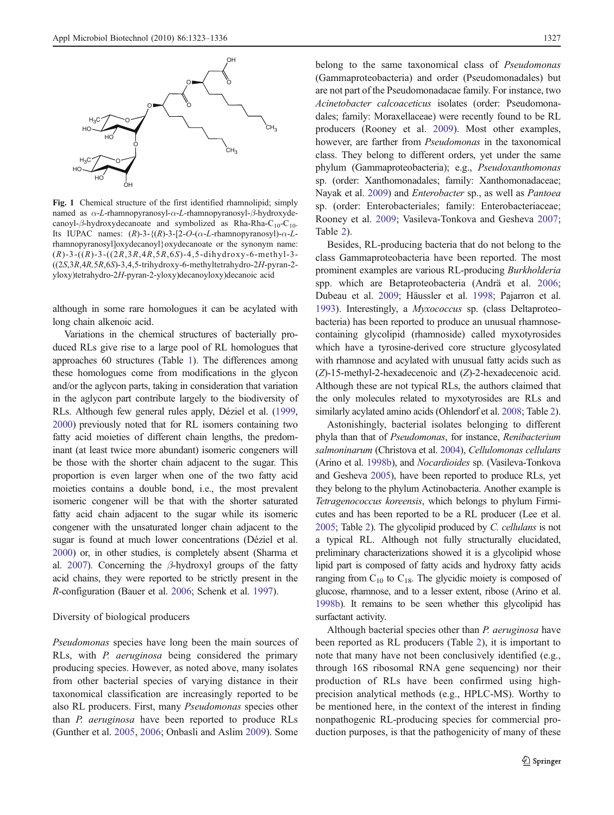<span id="page-4-0"></span>

Fig. 1 Chemical structure of the first identified rhamnolipid; simply named as α-L-rhamnopyranosyl-α-L-rhamnopyranosyl-β-hydroxydecanoyl- $\beta$ -hydroxydecanoate and symbolized as Rha-Rha-C<sub>10</sub>-C<sub>10</sub>. Its IUPAC names:  $(R)$ -3- $\{(R)$ -3- $[2-O-(\alpha-L{\text{-}rham}$  nopyranosyl $)-\alpha-L{\text{-}rham}$ rhamnopyranosyl]oxydecanoyl}oxydecanoate or the synonym name:  $(R)$ -3- $((R)$ -3- $((2R,3R,4R,5R,6S)$ -4,5-dihydroxy-6-methyl-3-((2S,3R,4R,5R,6S)-3,4,5-trihydroxy-6-methyltetrahydro-2H-pyran-2 yloxy)tetrahydro-2H-pyran-2-yloxy)decanoyloxy)decanoic acid

although in some rare homologues it can be acylated with long chain alkenoic acid.

Variations in the chemical structures of bacterially produced RLs give rise to a large pool of RL homologues that approaches 60 structures (Table [1](#page-2-0)). The differences among these homologues come from modifications in the glycon and/or the aglycon parts, taking in consideration that variation in the aglycon part contribute largely to the biodiversity of RLs. Although few general rules apply, Déziel et al. [\(1999,](#page-11-0) [2000](#page-11-0)) previously noted that for RL isomers containing two fatty acid moieties of different chain lengths, the predominant (at least twice more abundant) isomeric congeners will be those with the shorter chain adjacent to the sugar. This proportion is even larger when one of the two fatty acid moieties contains a double bond, i.e., the most prevalent isomeric congener will be that with the shorter saturated fatty acid chain adjacent to the sugar while its isomeric congener with the unsaturated longer chain adjacent to the sugar is found at much lower concentrations (Déziel et al. [2000](#page-11-0)) or, in other studies, is completely absent (Sharma et al. [2007\)](#page-13-0). Concerning the  $\beta$ -hydroxyl groups of the fatty acid chains, they were reported to be strictly present in the R-configuration (Bauer et al. [2006;](#page-10-0) Schenk et al. [1997\)](#page-13-0).

## Diversity of biological producers

Pseudomonas species have long been the main sources of RLs, with P. aeruginosa being considered the primary producing species. However, as noted above, many isolates from other bacterial species of varying distance in their taxonomical classification are increasingly reported to be also RL producers. First, many Pseudomonas species other than P. aeruginosa have been reported to produce RLs (Gunther et al. [2005](#page-11-0), [2006](#page-11-0); Onbasli and Aslim [2009](#page-12-0)). Some

belong to the same taxonomical class of Pseudomonas (Gammaproteobacteria) and order (Pseudomonadales) but are not part of the Pseudomonadacae family. For instance, two Acinetobacter calcoaceticus isolates (order: Pseudomonadales; family: Moraxellaceae) were recently found to be RL producers (Rooney et al. [2009\)](#page-13-0). Most other examples, however, are farther from Pseudomonas in the taxonomical class. They belong to different orders, yet under the same phylum (Gammaproteobacteria); e.g., Pseudoxanthomonas sp. (order: Xanthomonadales; family: Xanthomonadaceae; Nayak et al. [2009](#page-12-0)) and Enterobacter sp., as well as Pantoea sp. (order: Enterobacteriales; family: Enterobacteriaceae; Rooney et al. [2009;](#page-13-0) Vasileva-Tonkova and Gesheva [2007;](#page-13-0) Table [2](#page-5-0)).

Besides, RL-producing bacteria that do not belong to the class Gammaproteobacteria have been reported. The most prominent examples are various RL-producing Burkholderia spp. which are Betaproteobacteria (Andrä et al. [2006;](#page-10-0) Dubeau et al. [2009;](#page-11-0) Häussler et al. [1998](#page-11-0); Pajarron et al. [1993\)](#page-12-0). Interestingly, a Myxococcus sp. (class Deltaproteobacteria) has been reported to produce an unusual rhamnosecontaining glycolipid (rhamnoside) called myxotyrosides which have a tyrosine-derived core structure glycosylated with rhamnose and acylated with unusual fatty acids such as (Z)-15-methyl-2-hexadecenoic and (Z)-2-hexadecenoic acid. Although these are not typical RLs, the authors claimed that the only molecules related to myxotyrosides are RLs and similarly acylated amino acids (Ohlendorf et al. [2008](#page-12-0); Table [2\)](#page-5-0).

Astonishingly, bacterial isolates belonging to different phyla than that of Pseudomonas, for instance, Renibacterium salmoninarum (Christova et al. [2004\)](#page-10-0), Cellulomonas cellulans (Arino et al. [1998b\)](#page-10-0), and Nocardioides sp. (Vasileva-Tonkova and Gesheva [2005](#page-13-0)), have been reported to produce RLs, yet they belong to the phylum Actinobacteria. Another example is Tetragenococcus koreensis, which belongs to phylum Firmicutes and has been reported to be a RL producer (Lee et al. [2005](#page-12-0); Table [2](#page-5-0)). The glycolipid produced by C. cellulans is not a typical RL. Although not fully structurally elucidated, preliminary characterizations showed it is a glycolipid whose lipid part is composed of fatty acids and hydroxy fatty acids ranging from  $C_{10}$  to  $C_{18}$ . The glycidic moiety is composed of glucose, rhamnose, and to a lesser extent, ribose (Arino et al. [1998b\)](#page-10-0). It remains to be seen whether this glycolipid has surfactant activity.

Although bacterial species other than P. aeruginosa have been reported as RL producers (Table [2](#page-5-0)), it is important to note that many have not been conclusively identified (e.g., through 16S ribosomal RNA gene sequencing) nor their production of RLs have been confirmed using highprecision analytical methods (e.g., HPLC-MS). Worthy to be mentioned here, in the context of the interest in finding nonpathogenic RL-producing species for commercial production purposes, is that the pathogenicity of many of these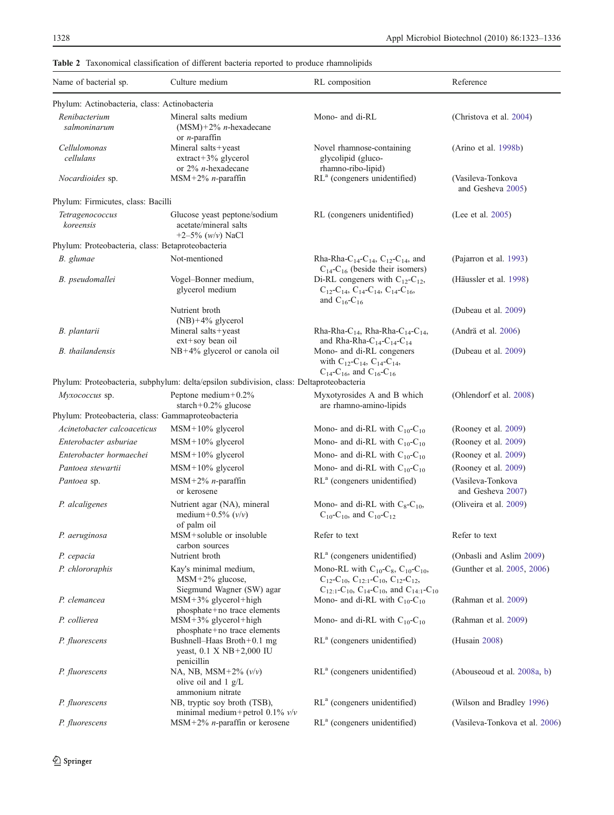| Name of bacterial sp.<br>Culture medium                                                     |                                                                                          | RL composition                                                                                                                                                                   | Reference                              |  |  |
|---------------------------------------------------------------------------------------------|------------------------------------------------------------------------------------------|----------------------------------------------------------------------------------------------------------------------------------------------------------------------------------|----------------------------------------|--|--|
| Phylum: Actinobacteria, class: Actinobacteria                                               |                                                                                          |                                                                                                                                                                                  |                                        |  |  |
| Renibacterium<br>salmoninarum                                                               | Mineral salts medium<br>$(MSM) + 2\%$ <i>n</i> -hexadecane                               | Mono- and di-RL                                                                                                                                                                  | (Christova et al. 2004)                |  |  |
| or $n$ -paraffin<br>Cellulomonas<br>Mineral salts+yeast<br>cellulans<br>extract+3% glycerol |                                                                                          | Novel rhamnose-containing<br>glycolipid (gluco-                                                                                                                                  | (Arino et al. 1998b)                   |  |  |
| or $2\%$ <i>n</i> -hexadecane<br>$MSM+2\%$ <i>n</i> -paraffin<br>Nocardioides sp.           |                                                                                          | rhamno-ribo-lipid)<br>RL <sup>a</sup> (congeners unidentified)                                                                                                                   | (Vasileva-Tonkova<br>and Gesheva 2005) |  |  |
| Phylum: Firmicutes, class: Bacilli                                                          |                                                                                          |                                                                                                                                                                                  |                                        |  |  |
| Tetragenococcus<br>koreensis                                                                | Glucose yeast peptone/sodium<br>acetate/mineral salts<br>$+2-5\%$ (w/v) NaCl             | RL (congeners unidentified)                                                                                                                                                      | (Lee et al. 2005)                      |  |  |
| Phylum: Proteobacteria, class: Betaproteobacteria                                           |                                                                                          |                                                                                                                                                                                  |                                        |  |  |
| Not-mentioned<br>B. glumae                                                                  |                                                                                          | Rha-Rha-C <sub>14</sub> -C <sub>14</sub> , C <sub>12</sub> -C <sub>14</sub> , and<br>$C_{14}$ - $C_{16}$ (beside their isomers)                                                  | (Pajarron et al. 1993)                 |  |  |
| B. pseudomallei                                                                             | Vogel-Bonner medium,<br>glycerol medium                                                  | Di-RL congeners with $C_{12}$ - $C_{12}$ ,<br>$C_{12}$ -C <sub>14</sub> , C <sub>14</sub> -C <sub>14</sub> , C <sub>14</sub> -C <sub>16</sub> ,<br>and $C_{16}$ -C <sub>16</sub> | (Häussler et al. 1998)                 |  |  |
|                                                                                             | Nutrient broth<br>$(NB) + 4\%$ glycerol                                                  |                                                                                                                                                                                  | (Dubeau et al. 2009)                   |  |  |
| B. plantarii<br>Mineral salts+yeast<br>ext+soy bean oil                                     |                                                                                          | Rha-Rha-C <sub>14</sub> , Rha-Rha-C <sub>14</sub> -C <sub>14</sub> ,<br>and Rha-Rha-C <sub>14</sub> -C <sub>14</sub> -C <sub>14</sub>                                            | (Andrä et al. 2006)                    |  |  |
| <b>B.</b> thailandensis<br>NB+4% glycerol or canola oil                                     |                                                                                          | Mono- and di-RL congeners<br>with $C_{12}$ -C <sub>14</sub> , C <sub>14</sub> -C <sub>14</sub> ,<br>$C_{14}$ -C <sub>16</sub> , and C <sub>16</sub> -C <sub>16</sub>             | (Dubeau et al. 2009)                   |  |  |
|                                                                                             | Phylum: Proteobacteria, subphylum: delta/epsilon subdivision, class: Deltaproteobacteria |                                                                                                                                                                                  |                                        |  |  |
| Myxococcus sp.                                                                              | Peptone medium $+0.2\%$<br>starch+ $0.2\%$ glucose                                       | Myxotyrosides A and B which<br>are rhamno-amino-lipids                                                                                                                           | (Ohlendorf et al. 2008)                |  |  |
| Phylum: Proteobacteria, class: Gammaproteobacteria                                          |                                                                                          |                                                                                                                                                                                  |                                        |  |  |
| Acinetobacter calcoaceticus                                                                 | MSM+10% glycerol                                                                         | Mono- and di-RL with $C_{10}$ - $C_{10}$                                                                                                                                         | (Rooney et al. 2009)                   |  |  |
| Enterobacter asburiae                                                                       | MSM+10% glycerol                                                                         | Mono- and di-RL with $C_{10}$ -C <sub>10</sub>                                                                                                                                   | (Rooney et al. 2009)                   |  |  |
| Enterobacter hormaechei                                                                     | MSM+10% glycerol                                                                         | Mono- and di-RL with $C_{10}$ - $C_{10}$                                                                                                                                         | (Rooney et al. 2009)                   |  |  |
| Pantoea stewartii                                                                           | MSM+10% glycerol                                                                         | Mono- and di-RL with $C_{10}$ -C <sub>10</sub>                                                                                                                                   | (Rooney et al. 2009)                   |  |  |
| Pantoea sp.                                                                                 | $MSM+2%$ <i>n</i> -paraffin<br>or kerosene                                               | $RLa$ (congeners unidentified)                                                                                                                                                   | (Vasileva-Tonkova<br>and Gesheva 2007) |  |  |
| P. alcaligenes                                                                              | Nutrient agar (NA), mineral<br>medium+0.5% $(v/v)$<br>of palm oil                        | Mono- and di-RL with $C_8$ - $C_{10}$ ,<br>$C_{10}$ -C <sub>10</sub> , and C <sub>10</sub> -C <sub>12</sub>                                                                      | (Oliveira et al. 2009)                 |  |  |
| P. aeruginosa                                                                               | MSM+soluble or insoluble<br>carbon sources                                               | Refer to text                                                                                                                                                                    | Refer to text                          |  |  |
| P. cepacia                                                                                  | Nutrient broth                                                                           | $RLa$ (congeners unidentified)                                                                                                                                                   | (Onbasli and Aslim 2009)               |  |  |
| P. chlororaphis                                                                             | Kay's minimal medium,<br>$MSM+2\%$ glucose,<br>Siegmund Wagner (SW) agar                 | Mono-RL with $C_{10}$ -C <sub>8</sub> , $C_{10}$ -C <sub>10</sub> ,<br>$C_{12}$ -C <sub>10</sub> , C <sub>12:1</sub> -C <sub>10</sub> , C <sub>12</sub> -C <sub>12</sub> ,       | (Gunther et al. 2005, 2006)            |  |  |
| P. clemancea                                                                                | $MSM+3\%$ glycerol+high<br>phosphate+no trace elements                                   | $C_{12:1}$ -C <sub>10</sub> , C <sub>14</sub> -C <sub>10</sub> , and C <sub>14:1</sub> -C <sub>10</sub><br>Mono- and di-RL with $C_{10}$ -C <sub>10</sub>                        | (Rahman et al. 2009)                   |  |  |
| P. collierea                                                                                | $MSM+3\%$ glycerol+high<br>phosphate+no trace elements                                   | Mono- and di-RL with $C_{10}$ - $C_{10}$                                                                                                                                         | (Rahman et al. 2009)                   |  |  |
| P. fluorescens                                                                              | Bushnell-Haas Broth+0.1 mg<br>yeast, $0.1 \times NB + 2,000 \text{ IU}$<br>penicillin    | $RLa$ (congeners unidentified)                                                                                                                                                   | (Husain 2008)                          |  |  |
| P. fluorescens                                                                              | NA, NB, MSM+2% $(v/v)$<br>olive oil and $1 \text{ g/L}$<br>ammonium nitrate              |                                                                                                                                                                                  | (Abouseoud et al. 2008a, b)            |  |  |
| P. fluorescens                                                                              | NB, tryptic soy broth (TSB),<br>minimal medium+petrol $0.1\%$ v/v                        | RL <sup>a</sup> (congeners unidentified)                                                                                                                                         | (Wilson and Bradley 1996)              |  |  |
| P. fluorescens                                                                              | $MSM+2\%$ <i>n</i> -paraffin or kerosene                                                 | RL <sup>a</sup> (congeners unidentified)                                                                                                                                         | (Vasileva-Tonkova et al. 2006)         |  |  |

<span id="page-5-0"></span>Table 2 Taxonomical classification of different bacteria reported to produce rhamnolipids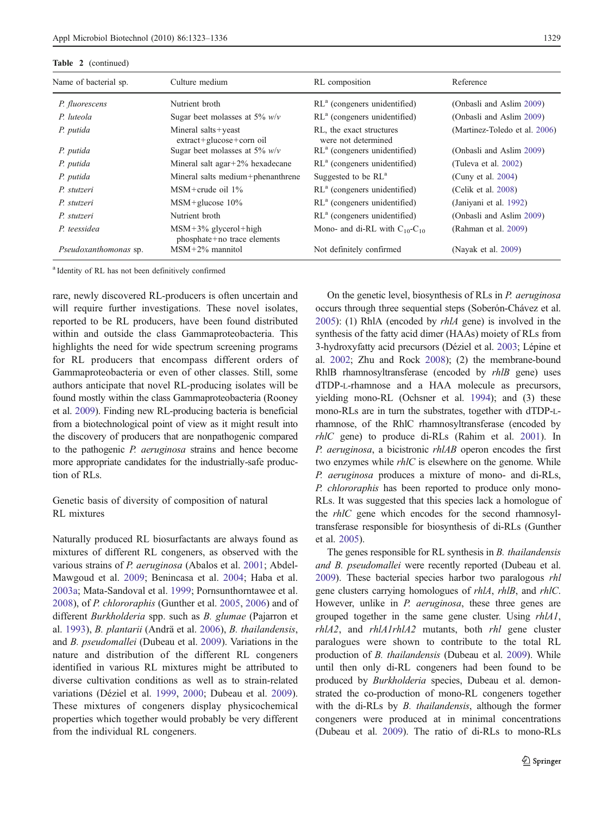## Table 2 (continued) Name of bacterial sp.

| able 2 (continued)    |                                                 |                                                 |                               |  |  |  |  |
|-----------------------|-------------------------------------------------|-------------------------------------------------|-------------------------------|--|--|--|--|
| Vame of bacterial sp. | Culture medium                                  | RL composition                                  | Reference                     |  |  |  |  |
| P. fluorescens        | Nutrient broth                                  | $RLa$ (congeners unidentified)                  | (Onbasli and Aslim 2009)      |  |  |  |  |
| P. luteola            | Sugar beet molasses at 5% $w/v$                 | $RLa$ (congeners unidentified)                  | (Onbasli and Aslim 2009)      |  |  |  |  |
| P. putida             | Mineral salts+yeast<br>extract+glucose+corn oil | RL, the exact structures<br>were not determined | (Martinez-Toledo et al. 2006) |  |  |  |  |
| P. putida             | Sugar beet molasses at 5% $w/v$                 | $RLa$ (congeners unidentified)                  | (Onbasli and Aslim 2009)      |  |  |  |  |

P. putida Mineral salt agar+2% hexadecane RL<sup>a</sup> (congeners unidentified) (Tuleva et al. [2002\)](#page-13-0) P. putida Mineral salts medium+phenanthrene Suggested to be RL<sup>a</sup> (Cuny et al. [2004](#page-10-0)) P. stutzeri MSM+crude oil 1% RL<sup>a</sup> (congeners unidentified) (Celik et al. [2008](#page-10-0)) P. stutzeri MSM+glucose 10% RL<sup>a</sup> (congeners unidentified) (Janiyani et al. [1992\)](#page-11-0) P. stutzeri Nutrient broth RL<sup>a</sup> (congeners unidentified) (Onbasli and Aslim [2009\)](#page-12-0)

Pseudoxanthomonas sp. MSM+2% mannitol Not definitely confirmed (Nayak et al. [2009\)](#page-12-0)

<sup>a</sup> Identity of RL has not been definitively confirmed

P. teessidea MSM+3% glycerol+high

phosphate+no trace elements

rare, newly discovered RL-producers is often uncertain and will require further investigations. These novel isolates, reported to be RL producers, have been found distributed within and outside the class Gammaproteobacteria. This highlights the need for wide spectrum screening programs for RL producers that encompass different orders of Gammaproteobacteria or even of other classes. Still, some authors anticipate that novel RL-producing isolates will be found mostly within the class Gammaproteobacteria (Rooney et al. [2009](#page-13-0)). Finding new RL-producing bacteria is beneficial from a biotechnological point of view as it might result into the discovery of producers that are nonpathogenic compared to the pathogenic P. aeruginosa strains and hence become more appropriate candidates for the industrially-safe production of RLs.

## Genetic basis of diversity of composition of natural RL mixtures

Naturally produced RL biosurfactants are always found as mixtures of different RL congeners, as observed with the various strains of *P. aeruginosa* (Abalos et al. [2001](#page-10-0); Abdel-Mawgoud et al. [2009](#page-10-0); Benincasa et al. [2004;](#page-10-0) Haba et al. [2003a](#page-11-0); Mata-Sandoval et al. [1999](#page-12-0); Pornsunthorntawee et al. [2008\)](#page-12-0), of P. chlororaphis (Gunther et al. [2005](#page-11-0), [2006](#page-11-0)) and of different Burkholderia spp. such as B. glumae (Pajarron et al. [1993](#page-12-0)), B. plantarii (Andrä et al. [2006\)](#page-10-0), B. thailandensis, and B. pseudomallei (Dubeau et al. [2009\)](#page-11-0). Variations in the nature and distribution of the different RL congeners identified in various RL mixtures might be attributed to diverse cultivation conditions as well as to strain-related variations (Déziel et al. [1999](#page-11-0), [2000;](#page-11-0) Dubeau et al. [2009](#page-11-0)). These mixtures of congeners display physicochemical properties which together would probably be very different from the individual RL congeners.

On the genetic level, biosynthesis of RLs in P. aeruginosa occurs through three sequential steps (Soberón-Chávez et al. [2005\)](#page-13-0): (1) RhlA (encoded by rhlA gene) is involved in the synthesis of the fatty acid dimer (HAAs) moiety of RLs from 3-hydroxyfatty acid precursors (Déziel et al. [2003;](#page-11-0) Lépine et al. [2002;](#page-12-0) Zhu and Rock [2008](#page-13-0)); (2) the membrane-bound RhlB rhamnosyltransferase (encoded by *rhlB* gene) uses dTDP-L-rhamnose and a HAA molecule as precursors, yielding mono-RL (Ochsner et al. [1994\)](#page-12-0); and (3) these mono-RLs are in turn the substrates, together with dTDP-Lrhamnose, of the RhlC rhamnosyltransferase (encoded by rhlC gene) to produce di-RLs (Rahim et al. [2001\)](#page-12-0). In P. aeruginosa, a bicistronic rhlAB operon encodes the first two enzymes while *rhlC* is elsewhere on the genome. While P. aeruginosa produces a mixture of mono- and di-RLs, P. chlororaphis has been reported to produce only mono-RLs. It was suggested that this species lack a homologue of the rhlC gene which encodes for the second rhamnosyltransferase responsible for biosynthesis of di-RLs (Gunther et al. [2005](#page-11-0)).

Mono- and di-RL with  $C_{10}$ - $C_{10}$  (Rahman et al. [2009\)](#page-12-0)

The genes responsible for RL synthesis in *B. thailandensis* and B. pseudomallei were recently reported (Dubeau et al. [2009\)](#page-11-0). These bacterial species harbor two paralogous rhl gene clusters carrying homologues of rhlA, rhlB, and rhlC. However, unlike in *P. aeruginosa*, these three genes are grouped together in the same gene cluster. Using rhlA1, rhlA2, and rhlA1rhlA2 mutants, both rhl gene cluster paralogues were shown to contribute to the total RL production of B. thailandensis (Dubeau et al. [2009](#page-11-0)). While until then only di-RL congeners had been found to be produced by Burkholderia species, Dubeau et al. demonstrated the co-production of mono-RL congeners together with the di-RLs by *B. thailandensis*, although the former congeners were produced at in minimal concentrations (Dubeau et al. [2009\)](#page-11-0). The ratio of di-RLs to mono-RLs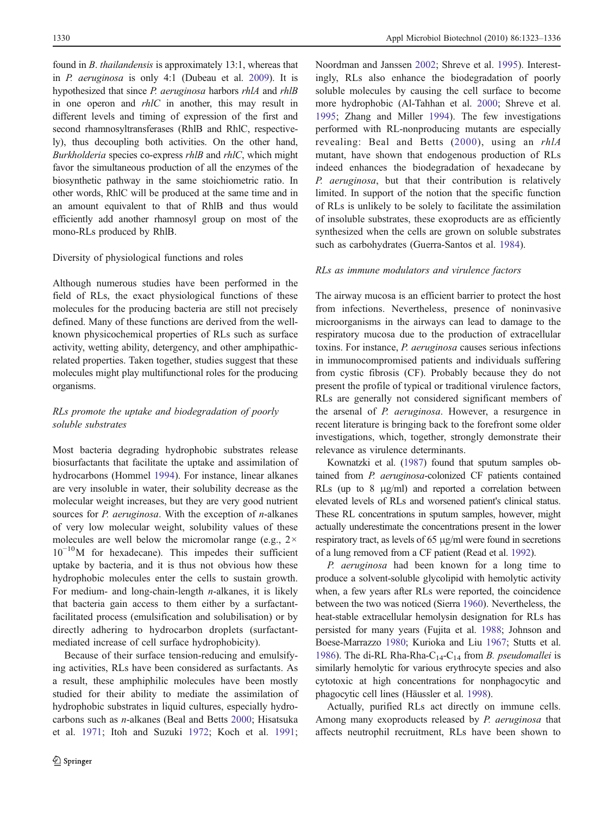found in B. thailandensis is approximately 13:1, whereas that in P. aeruginosa is only 4:1 (Dubeau et al. [2009](#page-11-0)). It is hypothesized that since P. aeruginosa harbors rhlA and rhlB in one operon and rhlC in another, this may result in different levels and timing of expression of the first and second rhamnosyltransferases (RhlB and RhlC, respectively), thus decoupling both activities. On the other hand, Burkholderia species co-express rhlB and rhlC, which might favor the simultaneous production of all the enzymes of the biosynthetic pathway in the same stoichiometric ratio. In other words, RhlC will be produced at the same time and in an amount equivalent to that of RhlB and thus would efficiently add another rhamnosyl group on most of the mono-RLs produced by RhlB.

## Diversity of physiological functions and roles

Although numerous studies have been performed in the field of RLs, the exact physiological functions of these molecules for the producing bacteria are still not precisely defined. Many of these functions are derived from the wellknown physicochemical properties of RLs such as surface activity, wetting ability, detergency, and other amphipathicrelated properties. Taken together, studies suggest that these molecules might play multifunctional roles for the producing organisms.

## RLs promote the uptake and biodegradation of poorly soluble substrates

Most bacteria degrading hydrophobic substrates release biosurfactants that facilitate the uptake and assimilation of hydrocarbons (Hommel [1994\)](#page-11-0). For instance, linear alkanes are very insoluble in water, their solubility decrease as the molecular weight increases, but they are very good nutrient sources for *P. aeruginosa*. With the exception of *n*-alkanes of very low molecular weight, solubility values of these molecules are well below the micromolar range (e.g.,  $2 \times$ 10*<sup>−</sup>*10M for hexadecane). This impedes their sufficient uptake by bacteria, and it is thus not obvious how these hydrophobic molecules enter the cells to sustain growth. For medium- and long-chain-length  $n$ -alkanes, it is likely that bacteria gain access to them either by a surfactantfacilitated process (emulsification and solubilisation) or by directly adhering to hydrocarbon droplets (surfactantmediated increase of cell surface hydrophobicity).

Because of their surface tension-reducing and emulsifying activities, RLs have been considered as surfactants. As a result, these amphiphilic molecules have been mostly studied for their ability to mediate the assimilation of hydrophobic substrates in liquid cultures, especially hydrocarbons such as n-alkanes (Beal and Betts [2000](#page-10-0); Hisatsuka et al. [1971](#page-11-0); Itoh and Suzuki [1972;](#page-11-0) Koch et al. [1991](#page-12-0);

Noordman and Janssen [2002;](#page-12-0) Shreve et al. [1995\)](#page-13-0). Interestingly, RLs also enhance the biodegradation of poorly soluble molecules by causing the cell surface to become more hydrophobic (Al-Tahhan et al. [2000;](#page-10-0) Shreve et al. [1995](#page-13-0); Zhang and Miller [1994](#page-13-0)). The few investigations performed with RL-nonproducing mutants are especially revealing: Beal and Betts ([2000](#page-10-0)), using an rhlA mutant, have shown that endogenous production of RLs indeed enhances the biodegradation of hexadecane by P. aeruginosa, but that their contribution is relatively limited. In support of the notion that the specific function of RLs is unlikely to be solely to facilitate the assimilation of insoluble substrates, these exoproducts are as efficiently synthesized when the cells are grown on soluble substrates such as carbohydrates (Guerra-Santos et al. [1984\)](#page-11-0).

#### RLs as immune modulators and virulence factors

The airway mucosa is an efficient barrier to protect the host from infections. Nevertheless, presence of noninvasive microorganisms in the airways can lead to damage to the respiratory mucosa due to the production of extracellular toxins. For instance, P. aeruginosa causes serious infections in immunocompromised patients and individuals suffering from cystic fibrosis (CF). Probably because they do not present the profile of typical or traditional virulence factors, RLs are generally not considered significant members of the arsenal of P. aeruginosa. However, a resurgence in recent literature is bringing back to the forefront some older investigations, which, together, strongly demonstrate their relevance as virulence determinants.

Kownatzki et al. ([1987\)](#page-12-0) found that sputum samples obtained from P. aeruginosa-colonized CF patients contained RLs (up to 8 μg/ml) and reported a correlation between elevated levels of RLs and worsened patient's clinical status. These RL concentrations in sputum samples, however, might actually underestimate the concentrations present in the lower respiratory tract, as levels of 65 μg/ml were found in secretions of a lung removed from a CF patient (Read et al. [1992\)](#page-13-0).

P. aeruginosa had been known for a long time to produce a solvent-soluble glycolipid with hemolytic activity when, a few years after RLs were reported, the coincidence between the two was noticed (Sierra [1960\)](#page-13-0). Nevertheless, the heat-stable extracellular hemolysin designation for RLs has persisted for many years (Fujita et al. [1988](#page-11-0); Johnson and Boese-Marrazzo [1980;](#page-11-0) Kurioka and Liu [1967](#page-12-0); Stutts et al. [1986\)](#page-13-0). The di-RL Rha-Rha-C<sub>14</sub>-C<sub>14</sub> from *B. pseudomallei* is similarly hemolytic for various erythrocyte species and also cytotoxic at high concentrations for nonphagocytic and phagocytic cell lines (Häussler et al. [1998\)](#page-11-0).

Actually, purified RLs act directly on immune cells. Among many exoproducts released by P. aeruginosa that affects neutrophil recruitment, RLs have been shown to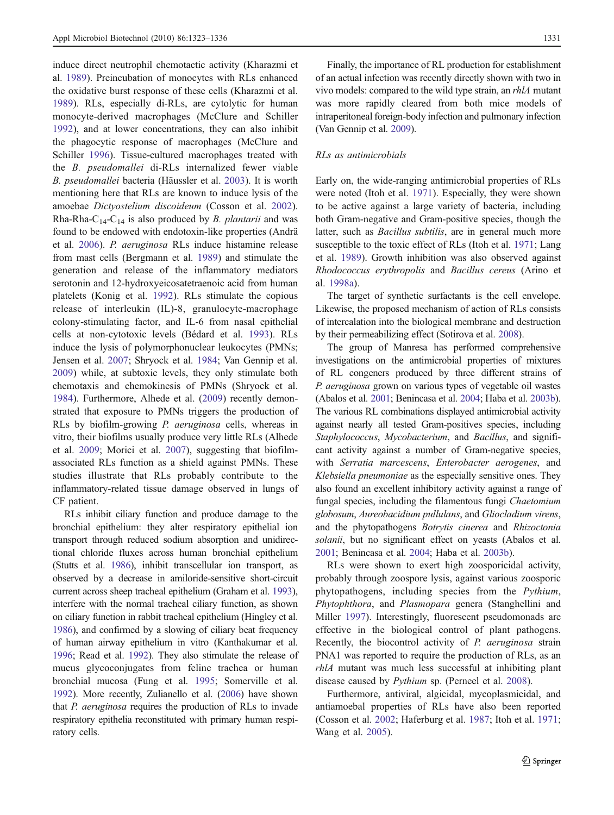induce direct neutrophil chemotactic activity (Kharazmi et al. [1989](#page-11-0)). Preincubation of monocytes with RLs enhanced the oxidative burst response of these cells (Kharazmi et al. [1989\)](#page-11-0). RLs, especially di-RLs, are cytolytic for human monocyte-derived macrophages (McClure and Schiller [1992\)](#page-12-0), and at lower concentrations, they can also inhibit the phagocytic response of macrophages (McClure and Schiller [1996](#page-12-0)). Tissue-cultured macrophages treated with the B. pseudomallei di-RLs internalized fewer viable B. pseudomallei bacteria (Häussler et al. [2003\)](#page-11-0). It is worth mentioning here that RLs are known to induce lysis of the amoebae Dictyostelium discoideum (Cosson et al. [2002](#page-10-0)). Rha-Rha-C<sub>14</sub>-C<sub>14</sub> is also produced by *B. plantarii* and was found to be endowed with endotoxin-like properties (Andrä et al. [2006](#page-10-0)). P. aeruginosa RLs induce histamine release from mast cells (Bergmann et al. [1989\)](#page-10-0) and stimulate the generation and release of the inflammatory mediators serotonin and 12-hydroxyeicosatetraenoic acid from human platelets (Konig et al. [1992](#page-12-0)). RLs stimulate the copious release of interleukin (IL)-8, granulocyte-macrophage colony-stimulating factor, and IL-6 from nasal epithelial cells at non-cytotoxic levels (Bédard et al. [1993](#page-10-0)). RLs induce the lysis of polymorphonuclear leukocytes (PMNs; Jensen et al. [2007;](#page-11-0) Shryock et al. [1984](#page-13-0); Van Gennip et al. [2009\)](#page-13-0) while, at subtoxic levels, they only stimulate both chemotaxis and chemokinesis of PMNs (Shryock et al. [1984\)](#page-13-0). Furthermore, Alhede et al. [\(2009](#page-10-0)) recently demonstrated that exposure to PMNs triggers the production of RLs by biofilm-growing P. aeruginosa cells, whereas in vitro, their biofilms usually produce very little RLs (Alhede et al. [2009;](#page-10-0) Morici et al. [2007\)](#page-12-0), suggesting that biofilmassociated RLs function as a shield against PMNs. These studies illustrate that RLs probably contribute to the inflammatory-related tissue damage observed in lungs of CF patient.

RLs inhibit ciliary function and produce damage to the bronchial epithelium: they alter respiratory epithelial ion transport through reduced sodium absorption and unidirectional chloride fluxes across human bronchial epithelium (Stutts et al. [1986\)](#page-13-0), inhibit transcellular ion transport, as observed by a decrease in amiloride-sensitive short-circuit current across sheep tracheal epithelium (Graham et al. [1993\)](#page-11-0), interfere with the normal tracheal ciliary function, as shown on ciliary function in rabbit tracheal epithelium (Hingley et al. [1986](#page-11-0)), and confirmed by a slowing of ciliary beat frequency of human airway epithelium in vitro (Kanthakumar et al. [1996](#page-11-0); Read et al. [1992](#page-13-0)). They also stimulate the release of mucus glycoconjugates from feline trachea or human bronchial mucosa (Fung et al. [1995;](#page-11-0) Somerville et al. [1992](#page-13-0)). More recently, Zulianello et al. [\(2006](#page-13-0)) have shown that P. aeruginosa requires the production of RLs to invade respiratory epithelia reconstituted with primary human respiratory cells.

Finally, the importance of RL production for establishment of an actual infection was recently directly shown with two in vivo models: compared to the wild type strain, an rhlA mutant was more rapidly cleared from both mice models of intraperitoneal foreign-body infection and pulmonary infection (Van Gennip et al. [2009\)](#page-13-0).

#### RLs as antimicrobials

Early on, the wide-ranging antimicrobial properties of RLs were noted (Itoh et al. [1971\)](#page-11-0). Especially, they were shown to be active against a large variety of bacteria, including both Gram-negative and Gram-positive species, though the latter, such as Bacillus subtilis, are in general much more susceptible to the toxic effect of RLs (Itoh et al. [1971;](#page-11-0) Lang et al. [1989\)](#page-12-0). Growth inhibition was also observed against Rhodococcus erythropolis and Bacillus cereus (Arino et al. [1998a](#page-10-0)).

The target of synthetic surfactants is the cell envelope. Likewise, the proposed mechanism of action of RLs consists of intercalation into the biological membrane and destruction by their permeabilizing effect (Sotirova et al. [2008](#page-13-0)).

The group of Manresa has performed comprehensive investigations on the antimicrobial properties of mixtures of RL congeners produced by three different strains of P. aeruginosa grown on various types of vegetable oil wastes (Abalos et al. [2001;](#page-10-0) Benincasa et al. [2004;](#page-10-0) Haba et al. [2003b\)](#page-11-0). The various RL combinations displayed antimicrobial activity against nearly all tested Gram-positives species, including Staphylococcus, Mycobacterium, and Bacillus, and significant activity against a number of Gram-negative species, with Serratia marcescens, Enterobacter aerogenes, and Klebsiella pneumoniae as the especially sensitive ones. They also found an excellent inhibitory activity against a range of fungal species, including the filamentous fungi Chaetomium globosum, Aureobacidium pullulans, and Gliocladium virens, and the phytopathogens Botrytis cinerea and Rhizoctonia solanii, but no significant effect on yeasts (Abalos et al. [2001;](#page-10-0) Benincasa et al. [2004;](#page-10-0) Haba et al. [2003b\)](#page-11-0).

RLs were shown to exert high zoosporicidal activity, probably through zoospore lysis, against various zoosporic phytopathogens, including species from the Pythium, Phytophthora, and Plasmopara genera (Stanghellini and Miller [1997\)](#page-13-0). Interestingly, fluorescent pseudomonads are effective in the biological control of plant pathogens. Recently, the biocontrol activity of P. aeruginosa strain PNA1 was reported to require the production of RLs, as an rhlA mutant was much less successful at inhibiting plant disease caused by Pythium sp. (Perneel et al. [2008](#page-12-0)).

Furthermore, antiviral, algicidal, mycoplasmicidal, and antiamoebal properties of RLs have also been reported (Cosson et al. [2002;](#page-10-0) Haferburg et al. [1987;](#page-11-0) Itoh et al. [1971;](#page-11-0) Wang et al. [2005\)](#page-13-0).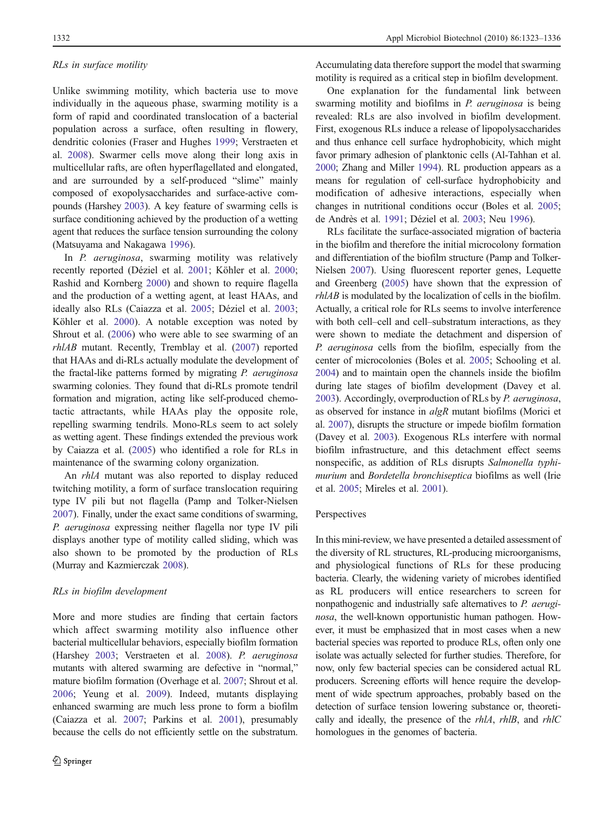## RLs in surface motility

Unlike swimming motility, which bacteria use to move individually in the aqueous phase, swarming motility is a form of rapid and coordinated translocation of a bacterial population across a surface, often resulting in flowery, dendritic colonies (Fraser and Hughes [1999](#page-11-0); Verstraeten et al. [2008\)](#page-13-0). Swarmer cells move along their long axis in multicellular rafts, are often hyperflagellated and elongated, and are surrounded by a self-produced "slime" mainly composed of exopolysaccharides and surface-active compounds (Harshey [2003](#page-11-0)). A key feature of swarming cells is surface conditioning achieved by the production of a wetting agent that reduces the surface tension surrounding the colony (Matsuyama and Nakagawa [1996\)](#page-12-0).

In P. aeruginosa, swarming motility was relatively recently reported (Déziel et al. [2001;](#page-11-0) Köhler et al. [2000](#page-12-0); Rashid and Kornberg [2000\)](#page-12-0) and shown to require flagella and the production of a wetting agent, at least HAAs, and ideally also RLs (Caiazza et al. [2005](#page-10-0); Déziel et al. [2003](#page-11-0); Köhler et al. [2000](#page-12-0)). A notable exception was noted by Shrout et al. ([2006\)](#page-13-0) who were able to see swarming of an rhlAB mutant. Recently, Tremblay et al. [\(2007](#page-13-0)) reported that HAAs and di-RLs actually modulate the development of the fractal-like patterns formed by migrating P. aeruginosa swarming colonies. They found that di-RLs promote tendril formation and migration, acting like self-produced chemotactic attractants, while HAAs play the opposite role, repelling swarming tendrils. Mono-RLs seem to act solely as wetting agent. These findings extended the previous work by Caiazza et al. [\(2005\)](#page-10-0) who identified a role for RLs in maintenance of the swarming colony organization.

An rhlA mutant was also reported to display reduced twitching motility, a form of surface translocation requiring type IV pili but not flagella (Pamp and Tolker-Nielsen [2007\)](#page-12-0). Finally, under the exact same conditions of swarming, P. aeruginosa expressing neither flagella nor type IV pili displays another type of motility called sliding, which was also shown to be promoted by the production of RLs (Murray and Kazmierczak [2008\)](#page-12-0).

## RLs in biofilm development

More and more studies are finding that certain factors which affect swarming motility also influence other bacterial multicellular behaviors, especially biofilm formation (Harshey [2003](#page-11-0); Verstraeten et al. [2008\)](#page-13-0). P. aeruginosa mutants with altered swarming are defective in "normal," mature biofilm formation (Overhage et al. [2007;](#page-12-0) Shrout et al. [2006](#page-13-0); Yeung et al. [2009\)](#page-13-0). Indeed, mutants displaying enhanced swarming are much less prone to form a biofilm (Caiazza et al. [2007](#page-10-0); Parkins et al. [2001\)](#page-12-0), presumably because the cells do not efficiently settle on the substratum.

Accumulating data therefore support the model that swarming motility is required as a critical step in biofilm development.

One explanation for the fundamental link between swarming motility and biofilms in P. aeruginosa is being revealed: RLs are also involved in biofilm development. First, exogenous RLs induce a release of lipopolysaccharides and thus enhance cell surface hydrophobicity, which might favor primary adhesion of planktonic cells (Al-Tahhan et al. [2000;](#page-10-0) Zhang and Miller [1994\)](#page-13-0). RL production appears as a means for regulation of cell-surface hydrophobicity and modification of adhesive interactions, especially when changes in nutritional conditions occur (Boles et al. [2005;](#page-10-0) de Andrès et al. [1991](#page-10-0); Déziel et al. [2003;](#page-11-0) Neu [1996\)](#page-12-0).

RLs facilitate the surface-associated migration of bacteria in the biofilm and therefore the initial microcolony formation and differentiation of the biofilm structure (Pamp and Tolker-Nielsen [2007\)](#page-12-0). Using fluorescent reporter genes, Lequette and Greenberg ([2005](#page-12-0)) have shown that the expression of rhlAB is modulated by the localization of cells in the biofilm. Actually, a critical role for RLs seems to involve interference with both cell–cell and cell–substratum interactions, as they were shown to mediate the detachment and dispersion of P. aeruginosa cells from the biofilm, especially from the center of microcolonies (Boles et al. [2005](#page-10-0); Schooling et al. [2004\)](#page-13-0) and to maintain open the channels inside the biofilm during late stages of biofilm development (Davey et al. [2003\)](#page-10-0). Accordingly, overproduction of RLs by P. aeruginosa, as observed for instance in algR mutant biofilms (Morici et al. [2007](#page-12-0)), disrupts the structure or impede biofilm formation (Davey et al. [2003](#page-10-0)). Exogenous RLs interfere with normal biofilm infrastructure, and this detachment effect seems nonspecific, as addition of RLs disrupts Salmonella typhimurium and Bordetella bronchiseptica biofilms as well (Irie et al. [2005](#page-11-0); Mireles et al. [2001](#page-12-0)).

## Perspectives

In this mini-review, we have presented a detailed assessment of the diversity of RL structures, RL-producing microorganisms, and physiological functions of RLs for these producing bacteria. Clearly, the widening variety of microbes identified as RL producers will entice researchers to screen for nonpathogenic and industrially safe alternatives to P. aeruginosa, the well-known opportunistic human pathogen. However, it must be emphasized that in most cases when a new bacterial species was reported to produce RLs, often only one isolate was actually selected for further studies. Therefore, for now, only few bacterial species can be considered actual RL producers. Screening efforts will hence require the development of wide spectrum approaches, probably based on the detection of surface tension lowering substance or, theoretically and ideally, the presence of the rhlA, rhlB, and rhlC homologues in the genomes of bacteria.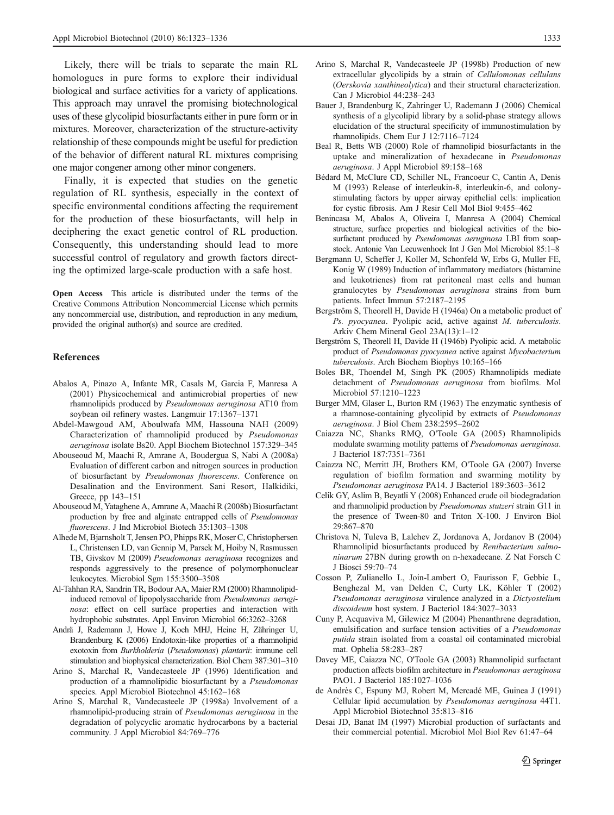<span id="page-10-0"></span>Likely, there will be trials to separate the main RL homologues in pure forms to explore their individual biological and surface activities for a variety of applications. This approach may unravel the promising biotechnological uses of these glycolipid biosurfactants either in pure form or in mixtures. Moreover, characterization of the structure-activity relationship of these compounds might be useful for prediction of the behavior of different natural RL mixtures comprising one major congener among other minor congeners.

Finally, it is expected that studies on the genetic regulation of RL synthesis, especially in the context of specific environmental conditions affecting the requirement for the production of these biosurfactants, will help in deciphering the exact genetic control of RL production. Consequently, this understanding should lead to more successful control of regulatory and growth factors directing the optimized large-scale production with a safe host.

Open Access This article is distributed under the terms of the Creative Commons Attribution Noncommercial License which permits any noncommercial use, distribution, and reproduction in any medium, provided the original author(s) and source are credited.

#### References

- Abalos A, Pinazo A, Infante MR, Casals M, Garcia F, Manresa A (2001) Physicochemical and antimicrobial properties of new rhamnolipids produced by Pseudomonas aeruginosa AT10 from soybean oil refinery wastes. Langmuir 17:1367–1371
- Abdel-Mawgoud AM, Aboulwafa MM, Hassouna NAH (2009) Characterization of rhamnolipid produced by Pseudomonas aeruginosa isolate Bs20. Appl Biochem Biotechnol 157:329–345
- Abouseoud M, Maachi R, Amrane A, Boudergua S, Nabi A (2008a) Evaluation of different carbon and nitrogen sources in production of biosurfactant by Pseudomonas fluorescens. Conference on Desalination and the Environment. Sani Resort, Halkidiki, Greece, pp 143–151
- Abouseoud M, Yataghene A, Amrane A, Maachi R (2008b) Biosurfactant production by free and alginate entrapped cells of Pseudomonas fluorescens. J Ind Microbiol Biotech 35:1303–1308
- Alhede M, Bjarnsholt T, Jensen PO, Phipps RK, Moser C, Christophersen L, Christensen LD, van Gennip M, Parsek M, Hoiby N, Rasmussen TB, Givskov M (2009) Pseudomonas aeruginosa recognizes and responds aggressively to the presence of polymorphonuclear leukocytes. Microbiol Sgm 155:3500–3508
- Al-Tahhan RA, Sandrin TR, Bodour AA, Maier RM (2000) Rhamnolipidinduced removal of lipopolysaccharide from Pseudomonas aeruginosa: effect on cell surface properties and interaction with hydrophobic substrates. Appl Environ Microbiol 66:3262–3268
- Andrä J, Rademann J, Howe J, Koch MHJ, Heine H, Zähringer U, Brandenburg K (2006) Endotoxin-like properties of a rhamnolipid exotoxin from Burkholderia (Pseudomonas) plantarii: immune cell stimulation and biophysical characterization. Biol Chem 387:301–310
- Arino S, Marchal R, Vandecasteele JP (1996) Identification and production of a rhamnolipidic biosurfactant by a Pseudomonas species. Appl Microbiol Biotechnol 45:162–168
- Arino S, Marchal R, Vandecasteele JP (1998a) Involvement of a rhamnolipid-producing strain of Pseudomonas aeruginosa in the degradation of polycyclic aromatic hydrocarbons by a bacterial community. J Appl Microbiol 84:769–776
- Arino S, Marchal R, Vandecasteele JP (1998b) Production of new extracellular glycolipids by a strain of Cellulomonas cellulans (Oerskovia xanthineolytica) and their structural characterization. Can J Microbiol 44:238–243
- Bauer J, Brandenburg K, Zahringer U, Rademann J (2006) Chemical synthesis of a glycolipid library by a solid-phase strategy allows elucidation of the structural specificity of immunostimulation by rhamnolipids. Chem Eur J 12:7116–7124
- Beal R, Betts WB (2000) Role of rhamnolipid biosurfactants in the uptake and mineralization of hexadecane in Pseudomonas aeruginosa. J Appl Microbiol 89:158–168
- Bédard M, McClure CD, Schiller NL, Francoeur C, Cantin A, Denis M (1993) Release of interleukin-8, interleukin-6, and colonystimulating factors by upper airway epithelial cells: implication for cystic fibrosis. Am J Resir Cell Mol Biol 9:455–462
- Benincasa M, Abalos A, Oliveira I, Manresa A (2004) Chemical structure, surface properties and biological activities of the biosurfactant produced by Pseudomonas aeruginosa LBI from soapstock. Antonie Van Leeuwenhoek Int J Gen Mol Microbiol 85:1–8
- Bergmann U, Scheffer J, Koller M, Schonfeld W, Erbs G, Muller FE, Konig W (1989) Induction of inflammatory mediators (histamine and leukotrienes) from rat peritoneal mast cells and human granulocytes by Pseudomonas aeruginosa strains from burn patients. Infect Immun 57:2187–2195
- Bergström S, Theorell H, Davide H (1946a) On a metabolic product of Ps. pyocyanea. Pyolipic acid, active against M. tuberculosis. Arkiv Chem Mineral Geol 23A(13):1–12
- Bergström S, Theorell H, Davide H (1946b) Pyolipic acid. A metabolic product of Pseudomonas pyocyanea active against Mycobacterium tuberculosis. Arch Biochem Biophys 10:165–166
- Boles BR, Thoendel M, Singh PK (2005) Rhamnolipids mediate detachment of Pseudomonas aeruginosa from biofilms. Mol Microbiol 57:1210–1223
- Burger MM, Glaser L, Burton RM (1963) The enzymatic synthesis of a rhamnose-containing glycolipid by extracts of Pseudomonas aeruginosa. J Biol Chem 238:2595–2602
- Caiazza NC, Shanks RMQ, O'Toole GA (2005) Rhamnolipids modulate swarming motility patterns of Pseudomonas aeruginosa. J Bacteriol 187:7351–7361
- Caiazza NC, Merritt JH, Brothers KM, O'Toole GA (2007) Inverse regulation of biofilm formation and swarming motility by Pseudomonas aeruginosa PA14. J Bacteriol 189:3603–3612
- Celik GY, Aslim B, Beyatli Y (2008) Enhanced crude oil biodegradation and rhamnolipid production by Pseudomonas stutzeri strain G11 in the presence of Tween-80 and Triton X-100. J Environ Biol 29:867–870
- Christova N, Tuleva B, Lalchev Z, Jordanova A, Jordanov B (2004) Rhamnolipid biosurfactants produced by Renibacterium salmoninarum 27BN during growth on n-hexadecane. Z Nat Forsch C J Biosci 59:70–74
- Cosson P, Zulianello L, Join-Lambert O, Faurisson F, Gebbie L, Benghezal M, van Delden C, Curty LK, Köhler T (2002) Pseudomonas aeruginosa virulence analyzed in a Dictyostelium discoideum host system. J Bacteriol 184:3027–3033
- Cuny P, Acquaviva M, Gilewicz M (2004) Phenanthrene degradation, emulsification and surface tension activities of a Pseudomonas putida strain isolated from a coastal oil contaminated microbial mat. Ophelia 58:283–287
- Davey ME, Caiazza NC, O'Toole GA (2003) Rhamnolipid surfactant production affects biofilm architecture in Pseudomonas aeruginosa PAO1. J Bacteriol 185:1027–1036
- de Andrès C, Espuny MJ, Robert M, Mercadé ME, Guinea J (1991) Cellular lipid accumulation by Pseudomonas aeruginosa 44T1. Appl Microbiol Biotechnol 35:813–816
- Desai JD, Banat IM (1997) Microbial production of surfactants and their commercial potential. Microbiol Mol Biol Rev 61:47–64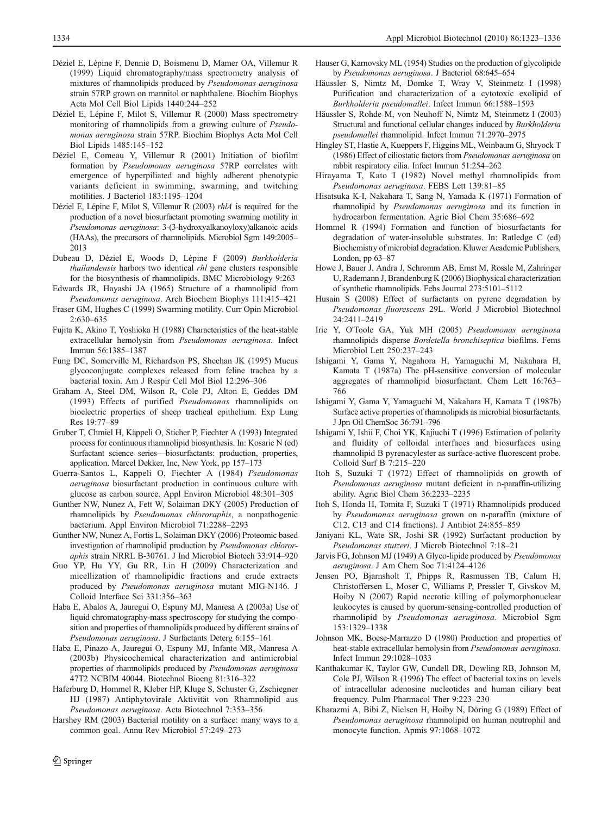- <span id="page-11-0"></span>Déziel E, Lépine F, Dennie D, Boismenu D, Mamer OA, Villemur R (1999) Liquid chromatography/mass spectrometry analysis of mixtures of rhamnolipids produced by Pseudomonas aeruginosa strain 57RP grown on mannitol or naphthalene. Biochim Biophys Acta Mol Cell Biol Lipids 1440:244–252
- Déziel E, Lépine F, Milot S, Villemur R (2000) Mass spectrometry monitoring of rhamnolipids from a growing culture of Pseudomonas aeruginosa strain 57RP. Biochim Biophys Acta Mol Cell Biol Lipids 1485:145–152
- Déziel E, Comeau Y, Villemur R (2001) Initiation of biofilm formation by Pseudomonas aeruginosa 57RP correlates with emergence of hyperpiliated and highly adherent phenotypic variants deficient in swimming, swarming, and twitching motilities. J Bacteriol 183:1195–1204
- Déziel E, Lépine F, Milot S, Villemur R (2003) rhlA is required for the production of a novel biosurfactant promoting swarming motility in Pseudomonas aeruginosa: 3-(3-hydroxyalkanoyloxy)alkanoic acids (HAAs), the precursors of rhamnolipids. Microbiol Sgm 149:2005– 2013
- Dubeau D, Déziel E, Woods D, Lépine F (2009) Burkholderia thailandensis harbors two identical rhl gene clusters responsible for the biosynthesis of rhamnolipids. BMC Microbiology 9:263
- Edwards JR, Hayashi JA (1965) Structure of a rhamnolipid from Pseudomonas aeruginosa. Arch Biochem Biophys 111:415–421
- Fraser GM, Hughes C (1999) Swarming motility. Curr Opin Microbiol 2:630–635
- Fujita K, Akino T, Yoshioka H (1988) Characteristics of the heat-stable extracellular hemolysin from Pseudomonas aeruginosa. Infect Immun 56:1385–1387
- Fung DC, Somerville M, Richardson PS, Sheehan JK (1995) Mucus glycoconjugate complexes released from feline trachea by a bacterial toxin. Am J Respir Cell Mol Biol 12:296–306
- Graham A, Steel DM, Wilson R, Cole PJ, Alton E, Geddes DM (1993) Effects of purified Pseudomonas rhamnolipids on bioelectric properties of sheep tracheal epithelium. Exp Lung Res 19:77–89
- Gruber T, Chmiel H, Käppeli O, Sticher P, Fiechter A (1993) Integrated process for continuous rhamnolipid biosynthesis. In: Kosaric N (ed) Surfactant science series—biosurfactants: production, properties, application. Marcel Dekker, Inc, New York, pp 157–173
- Guerra-Santos L, Kappeli O, Fiechter A (1984) Pseudomonas aeruginosa biosurfactant production in continuous culture with glucose as carbon source. Appl Environ Microbiol 48:301–305
- Gunther NW, Nunez A, Fett W, Solaiman DKY (2005) Production of rhamnolipids by Pseudomonas chlororaphis, a nonpathogenic bacterium. Appl Environ Microbiol 71:2288–2293
- Gunther NW, Nunez A, Fortis L, Solaiman DKY (2006) Proteomic based investigation of rhamnolipid production by Pseudomonas chlororaphis strain NRRL B-30761. J Ind Microbiol Biotech 33:914–920
- Guo YP, Hu YY, Gu RR, Lin H (2009) Characterization and micellization of rhamnolipidic fractions and crude extracts produced by Pseudomonas aeruginosa mutant MIG-N146. J Colloid Interface Sci 331:356–363
- Haba E, Abalos A, Jauregui O, Espuny MJ, Manresa A (2003a) Use of liquid chromatography-mass spectroscopy for studying the composition and properties of rhamnolipids produced by different strains of Pseudomonas aeruginosa. J Surfactants Deterg 6:155–161
- Haba E, Pinazo A, Jauregui O, Espuny MJ, Infante MR, Manresa A (2003b) Physicochemical characterization and antimicrobial properties of rhamnolipids produced by Pseudomonas aeruginosa 47T2 NCBIM 40044. Biotechnol Bioeng 81:316–322
- Haferburg D, Hommel R, Kleber HP, Kluge S, Schuster G, Zschiegner HJ (1987) Antiphytovirale Aktivität von Rhamnolipid aus Pseudomonas aeruginosa. Acta Biotechnol 7:353–356
- Harshey RM (2003) Bacterial motility on a surface: many ways to a common goal. Annu Rev Microbiol 57:249–273
- Hauser G, Karnovsky ML (1954) Studies on the production of glycolipide by Pseudomonas aeruginosa. J Bacteriol 68:645–654
- Häussler S, Nimtz M, Domke T, Wray V, Steinmetz I (1998) Purification and characterization of a cytotoxic exolipid of Burkholderia pseudomallei. Infect Immun 66:1588–1593
- Häussler S, Rohde M, von Neuhoff N, Nimtz M, Steinmetz I (2003) Structural and functional cellular changes induced by Burkholderia pseudomallei rhamnolipid. Infect Immun 71:2970–2975
- Hingley ST, Hastie A, Kueppers F, Higgins ML, Weinbaum G, Shryock T (1986) Effect of ciliostatic factors from Pseudomonas aeruginosa on rabbit respiratory cilia. Infect Immun 51:254–262
- Hirayama T, Kato I (1982) Novel methyl rhamnolipids from Pseudomonas aeruginosa. FEBS Lett 139:81–85
- Hisatsuka K-I, Nakahara T, Sang N, Yamada K (1971) Formation of rhamnolipid by Pseudomonas aeruginosa and its function in hydrocarbon fermentation. Agric Biol Chem 35:686–692
- Hommel R (1994) Formation and function of biosurfactants for degradation of water-insoluble substrates. In: Ratledge C (ed) Biochemistry of microbial degradation. Kluwer Academic Publishers, London, pp 63–87
- Howe J, Bauer J, Andra J, Schromm AB, Ernst M, Rossle M, Zahringer U, Rademann J, Brandenburg K (2006) Biophysical characterization of synthetic rhamnolipids. Febs Journal 273:5101–5112
- Husain S (2008) Effect of surfactants on pyrene degradation by Pseudomonas fluorescens 29L. World J Microbiol Biotechnol 24:2411–2419
- Irie Y, O'Toole GA, Yuk MH (2005) Pseudomonas aeruginosa rhamnolipids disperse Bordetella bronchiseptica biofilms. Fems Microbiol Lett 250:237–243
- Ishigami Y, Gama Y, Nagahora H, Yamaguchi M, Nakahara H, Kamata T (1987a) The pH-sensitive conversion of molecular aggregates of rhamnolipid biosurfactant. Chem Lett 16:763– 766
- Ishigami Y, Gama Y, Yamaguchi M, Nakahara H, Kamata T (1987b) Surface active properties of rhamnolipids as microbial biosurfactants. J Jpn Oil ChemSoc 36:791–796
- Ishigami Y, Ishii F, Choi YK, Kajiuchi T (1996) Estimation of polarity and fluidity of colloidal interfaces and biosurfaces using rhamnolipid B pyrenacylester as surface-active fluorescent probe. Colloid Surf B 7:215–220
- Itoh S, Suzuki T (1972) Effect of rhamnolipids on growth of Pseudomonas aeruginosa mutant deficient in n-paraffin-utilizing ability. Agric Biol Chem 36:2233–2235
- Itoh S, Honda H, Tomita F, Suzuki T (1971) Rhamnolipids produced by Pseudomonas aeruginosa grown on n-paraffin (mixture of C12, C13 and C14 fractions). J Antibiot 24:855–859
- Janiyani KL, Wate SR, Joshi SR (1992) Surfactant production by Pseudomonas stutzeri. J Microb Biotechnol 7:18–21
- Jarvis FG, Johnson MJ (1949) A Glyco-lipide produced by Pseudomonas aeruginosa. J Am Chem Soc 71:4124–4126
- Jensen PO, Bjarnsholt T, Phipps R, Rasmussen TB, Calum H, Christoffersen L, Moser C, Williams P, Pressler T, Givskov M, Hoiby N (2007) Rapid necrotic killing of polymorphonuclear leukocytes is caused by quorum-sensing-controlled production of rhamnolipid by Pseudomonas aeruginosa. Microbiol Sgm 153:1329–1338
- Johnson MK, Boese-Marrazzo D (1980) Production and properties of heat-stable extracellular hemolysin from Pseudomonas aeruginosa. Infect Immun 29:1028–1033
- Kanthakumar K, Taylor GW, Cundell DR, Dowling RB, Johnson M, Cole PJ, Wilson R (1996) The effect of bacterial toxins on levels of intracellular adenosine nucleotides and human ciliary beat frequency. Pulm Pharmacol Ther 9:223–230
- Kharazmi A, Bibi Z, Nielsen H, Hoiby N, Döring G (1989) Effect of Pseudomonas aeruginosa rhamnolipid on human neutrophil and monocyte function. Apmis 97:1068–1072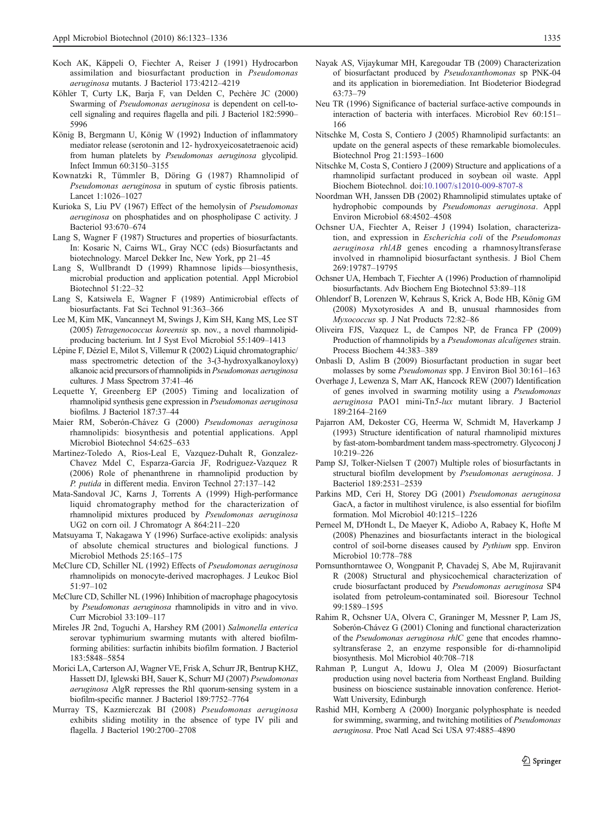- <span id="page-12-0"></span>Koch AK, Käppeli O, Fiechter A, Reiser J (1991) Hydrocarbon assimilation and biosurfactant production in Pseudomonas aeruginosa mutants. J Bacteriol 173:4212–4219
- Köhler T, Curty LK, Barja F, van Delden C, Pechère JC (2000) Swarming of Pseudomonas aeruginosa is dependent on cell-tocell signaling and requires flagella and pili. J Bacteriol 182:5990– 5996
- König B, Bergmann U, König W (1992) Induction of inflammatory mediator release (serotonin and 12- hydroxyeicosatetraenoic acid) from human platelets by Pseudomonas aeruginosa glycolipid. Infect Immun 60:3150–3155
- Kownatzki R, Tümmler B, Döring G (1987) Rhamnolipid of Pseudomonas aeruginosa in sputum of cystic fibrosis patients. Lancet 1:1026–1027
- Kurioka S, Liu PV (1967) Effect of the hemolysin of Pseudomonas aeruginosa on phosphatides and on phospholipase C activity. J Bacteriol 93:670–674
- Lang S, Wagner F (1987) Structures and properties of biosurfactants. In: Kosaric N, Cairns WL, Gray NCC (eds) Biosurfactants and biotechnology. Marcel Dekker Inc, New York, pp 21–45
- Lang S, Wullbrandt D (1999) Rhamnose lipids—biosynthesis, microbial production and application potential. Appl Microbiol Biotechnol 51:22–32
- Lang S, Katsiwela E, Wagner F (1989) Antimicrobial effects of biosurfactants. Fat Sci Technol 91:363–366
- Lee M, Kim MK, Vancanneyt M, Swings J, Kim SH, Kang MS, Lee ST (2005) Tetragenococcus koreensis sp. nov., a novel rhamnolipidproducing bacterium. Int J Syst Evol Microbiol 55:1409–1413
- Lépine F, Déziel E, Milot S, Villemur R (2002) Liquid chromatographic/ mass spectrometric detection of the 3-(3-hydroxyalkanoyloxy) alkanoic acid precursors of rhamnolipids in Pseudomonas aeruginosa cultures. J Mass Spectrom 37:41–46
- Lequette Y, Greenberg EP (2005) Timing and localization of rhamnolipid synthesis gene expression in Pseudomonas aeruginosa biofilms. J Bacteriol 187:37–44
- Maier RM, Soberón-Chávez G (2000) Pseudomonas aeruginosa rhamnolipids: biosynthesis and potential applications. Appl Microbiol Biotechnol 54:625–633
- Martinez-Toledo A, Rios-Leal E, Vazquez-Duhalt R, Gonzalez-Chavez Mdel C, Esparza-Garcia JF, Rodriguez-Vazquez R (2006) Role of phenanthrene in rhamnolipid production by P. putida in different media. Environ Technol 27:137–142
- Mata-Sandoval JC, Karns J, Torrents A (1999) High-performance liquid chromatography method for the characterization of rhamnolipid mixtures produced by Pseudomonas aeruginosa UG2 on corn oil. J Chromatogr A 864:211–220
- Matsuyama T, Nakagawa Y (1996) Surface-active exolipids: analysis of absolute chemical structures and biological functions. J Microbiol Methods 25:165–175
- McClure CD, Schiller NL (1992) Effects of Pseudomonas aeruginosa rhamnolipids on monocyte-derived macrophages. J Leukoc Biol 51:97–102
- McClure CD, Schiller NL (1996) Inhibition of macrophage phagocytosis by Pseudomonas aeruginosa rhamnolipids in vitro and in vivo. Curr Microbiol 33:109–117
- Mireles JR 2nd, Toguchi A, Harshey RM (2001) Salmonella enterica serovar typhimurium swarming mutants with altered biofilmforming abilities: surfactin inhibits biofilm formation. J Bacteriol 183:5848–5854
- Morici LA, Carterson AJ, Wagner VE, Frisk A, Schurr JR, Bentrup KHZ, Hassett DJ, Iglewski BH, Sauer K, Schurr MJ (2007) Pseudomonas aeruginosa AlgR represses the Rhl quorum-sensing system in a biofilm-specific manner. J Bacteriol 189:7752–7764
- Murray TS, Kazmierczak BI (2008) Pseudomonas aeruginosa exhibits sliding motility in the absence of type IV pili and flagella. J Bacteriol 190:2700–2708
- Nayak AS, Vijaykumar MH, Karegoudar TB (2009) Characterization of biosurfactant produced by Pseudoxanthomonas sp PNK-04 and its application in bioremediation. Int Biodeterior Biodegrad 63:73–79
- Neu TR (1996) Significance of bacterial surface-active compounds in interaction of bacteria with interfaces. Microbiol Rev 60:151– 166
- Nitschke M, Costa S, Contiero J (2005) Rhamnolipid surfactants: an update on the general aspects of these remarkable biomolecules. Biotechnol Prog 21:1593–1600
- Nitschke M, Costa S, Contiero J (2009) Structure and applications of a rhamnolipid surfactant produced in soybean oil waste. Appl Biochem Biotechnol. doi[:10.1007/s12010-009-8707-8](http://dx.doi.org/10.1007/s12010-009-8707-8)
- Noordman WH, Janssen DB (2002) Rhamnolipid stimulates uptake of hydrophobic compounds by Pseudomonas aeruginosa. Appl Environ Microbiol 68:4502–4508
- Ochsner UA, Fiechter A, Reiser J (1994) Isolation, characterization, and expression in Escherichia coli of the Pseudomonas aeruginosa rhlAB genes encoding a rhamnosyltransferase involved in rhamnolipid biosurfactant synthesis. J Biol Chem 269:19787–19795
- Ochsner UA, Hembach T, Fiechter A (1996) Production of rhamnolipid biosurfactants. Adv Biochem Eng Biotechnol 53:89–118
- Ohlendorf B, Lorenzen W, Kehraus S, Krick A, Bode HB, König GM (2008) Myxotyrosides A and B, unusual rhamnosides from Myxococcus sp. J Nat Products 72:82–86
- Oliveira FJS, Vazquez L, de Campos NP, de Franca FP (2009) Production of rhamnolipids by a Pseudomonas alcaligenes strain. Process Biochem 44:383–389
- Onbasli D, Aslim B (2009) Biosurfactant production in sugar beet molasses by some Pseudomonas spp. J Environ Biol 30:161–163
- Overhage J, Lewenza S, Marr AK, Hancock REW (2007) Identification of genes involved in swarming motility using a Pseudomonas aeruginosa PAO1 mini-Tn5-lux mutant library. J Bacteriol 189:2164–2169
- Pajarron AM, Dekoster CG, Heerma W, Schmidt M, Haverkamp J (1993) Structure identification of natural rhamnolipid mixtures by fast-atom-bombardment tandem mass-spectrometry. Glycoconj J 10:219–226
- Pamp SJ, Tolker-Nielsen T (2007) Multiple roles of biosurfactants in structural biofilm development by Pseudomonas aeruginosa. J Bacteriol 189:2531–2539
- Parkins MD, Ceri H, Storey DG (2001) Pseudomonas aeruginosa GacA, a factor in multihost virulence, is also essential for biofilm formation. Mol Microbiol 40:1215–1226
- Perneel M, D'Hondt L, De Maeyer K, Adiobo A, Rabaey K, Hofte M (2008) Phenazines and biosurfactants interact in the biological control of soil-borne diseases caused by Pythium spp. Environ Microbiol 10:778–788
- Pornsunthorntawee O, Wongpanit P, Chavadej S, Abe M, Rujiravanit R (2008) Structural and physicochemical characterization of crude biosurfactant produced by Pseudomonas aeruginosa SP4 isolated from petroleum-contaminated soil. Bioresour Technol 99:1589–1595
- Rahim R, Ochsner UA, Olvera C, Graninger M, Messner P, Lam JS, Soberón-Chávez G (2001) Cloning and functional characterization of the Pseudomonas aeruginosa rhlC gene that encodes rhamnosyltransferase 2, an enzyme responsible for di-rhamnolipid biosynthesis. Mol Microbiol 40:708–718
- Rahman P, Lungut A, Idowu J, Olea M (2009) Biosurfactant production using novel bacteria from Northeast England. Building business on bioscience sustainable innovation conference. Heriot-Watt University, Edinburgh
- Rashid MH, Kornberg A (2000) Inorganic polyphosphate is needed for swimming, swarming, and twitching motilities of Pseudomonas aeruginosa. Proc Natl Acad Sci USA 97:4885–4890